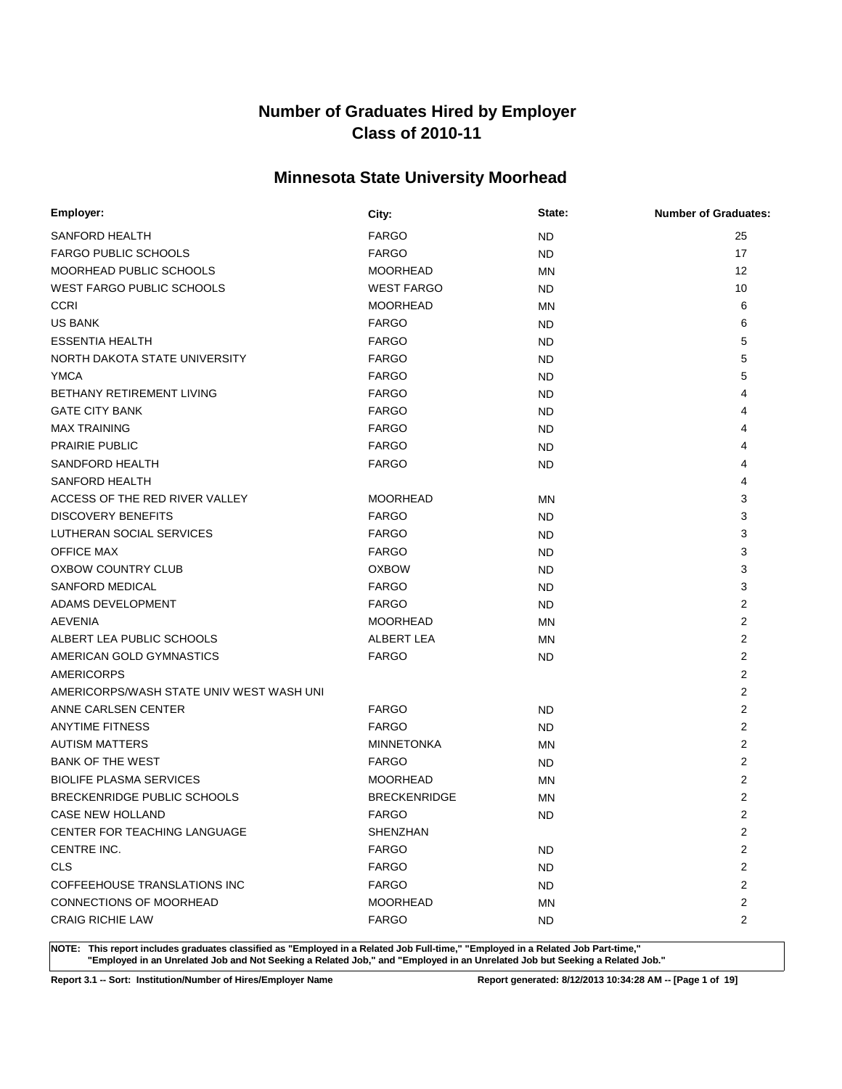# **Minnesota State University Moorhead**

| Employer:                                | City:               | State:    | <b>Number of Graduates:</b> |
|------------------------------------------|---------------------|-----------|-----------------------------|
| SANFORD HEALTH                           | <b>FARGO</b>        | ND.       | 25                          |
| <b>FARGO PUBLIC SCHOOLS</b>              | <b>FARGO</b>        | ND.       | 17                          |
| MOORHEAD PUBLIC SCHOOLS                  | <b>MOORHEAD</b>     | MN        | 12                          |
| <b>WEST FARGO PUBLIC SCHOOLS</b>         | <b>WEST FARGO</b>   | ND.       | 10                          |
| <b>CCRI</b>                              | <b>MOORHEAD</b>     | MN        | 6                           |
| <b>US BANK</b>                           | <b>FARGO</b>        | ND.       | 6                           |
| <b>ESSENTIA HEALTH</b>                   | <b>FARGO</b>        | ND.       | 5                           |
| NORTH DAKOTA STATE UNIVERSITY            | <b>FARGO</b>        | ND.       | 5                           |
| <b>YMCA</b>                              | <b>FARGO</b>        | ND.       | 5                           |
| BETHANY RETIREMENT LIVING                | <b>FARGO</b>        | ND.       | 4                           |
| <b>GATE CITY BANK</b>                    | <b>FARGO</b>        | ND.       | 4                           |
| <b>MAX TRAINING</b>                      | <b>FARGO</b>        | ND.       | 4                           |
| <b>PRAIRIE PUBLIC</b>                    | <b>FARGO</b>        | ND.       | 4                           |
| SANDFORD HEALTH                          | <b>FARGO</b>        | ND.       |                             |
| <b>SANFORD HEALTH</b>                    |                     |           | 4                           |
| ACCESS OF THE RED RIVER VALLEY           | <b>MOORHEAD</b>     | <b>MN</b> | 3                           |
| <b>DISCOVERY BENEFITS</b>                | <b>FARGO</b>        | ND.       | 3                           |
| LUTHERAN SOCIAL SERVICES                 | <b>FARGO</b>        | ND.       | 3                           |
| <b>OFFICE MAX</b>                        | <b>FARGO</b>        | <b>ND</b> | 3                           |
| <b>OXBOW COUNTRY CLUB</b>                | <b>OXBOW</b>        | ND.       | 3                           |
| <b>SANFORD MEDICAL</b>                   | <b>FARGO</b>        | ND.       | 3                           |
| ADAMS DEVELOPMENT                        | <b>FARGO</b>        | ND.       | $\overline{2}$              |
| <b>AEVENIA</b>                           | <b>MOORHEAD</b>     | MN        | 2                           |
| ALBERT LEA PUBLIC SCHOOLS                | ALBERT LEA          | ΜN        | 2                           |
| AMERICAN GOLD GYMNASTICS                 | <b>FARGO</b>        | ND.       | 2                           |
| <b>AMERICORPS</b>                        |                     |           | $\overline{2}$              |
| AMERICORPS/WASH STATE UNIV WEST WASH UNI |                     |           | 2                           |
| ANNE CARLSEN CENTER                      | <b>FARGO</b>        | ND.       | 2                           |
| <b>ANYTIME FITNESS</b>                   | <b>FARGO</b>        | ND.       | $\overline{2}$              |
| <b>AUTISM MATTERS</b>                    | <b>MINNETONKA</b>   | MN        | $\overline{2}$              |
| <b>BANK OF THE WEST</b>                  | <b>FARGO</b>        | ND.       | $\overline{2}$              |
| <b>BIOLIFE PLASMA SERVICES</b>           | <b>MOORHEAD</b>     | MN        | $\overline{2}$              |
| BRECKENRIDGE PUBLIC SCHOOLS              | <b>BRECKENRIDGE</b> | MN        | 2                           |
| <b>CASE NEW HOLLAND</b>                  | <b>FARGO</b>        | <b>ND</b> | $\overline{2}$              |
| CENTER FOR TEACHING LANGUAGE             | SHENZHAN            |           | $\overline{2}$              |
| CENTRE INC.                              | <b>FARGO</b>        | <b>ND</b> | $\overline{2}$              |
| <b>CLS</b>                               | <b>FARGO</b>        | ND.       | $\overline{2}$              |
| COFFEEHOUSE TRANSLATIONS INC             | <b>FARGO</b>        | ND.       | $\overline{2}$              |
| CONNECTIONS OF MOORHEAD                  | <b>MOORHEAD</b>     | ΜN        | $\overline{c}$              |
| <b>CRAIG RICHIE LAW</b>                  | <b>FARGO</b>        | ND.       | $\overline{2}$              |

**NOTE: This report includes graduates classified as "Employed in a Related Job Full-time," "Employed in a Related Job Part-time," "Employed in an Unrelated Job and Not Seeking a Related Job," and "Employed in an Unrelated Job but Seeking a Related Job."**

**Report 3.1 -- Sort: Institution/Number of Hires/Employer Name Report generated: 8/12/2013 10:34:28 AM -- [Page 1 of 19]**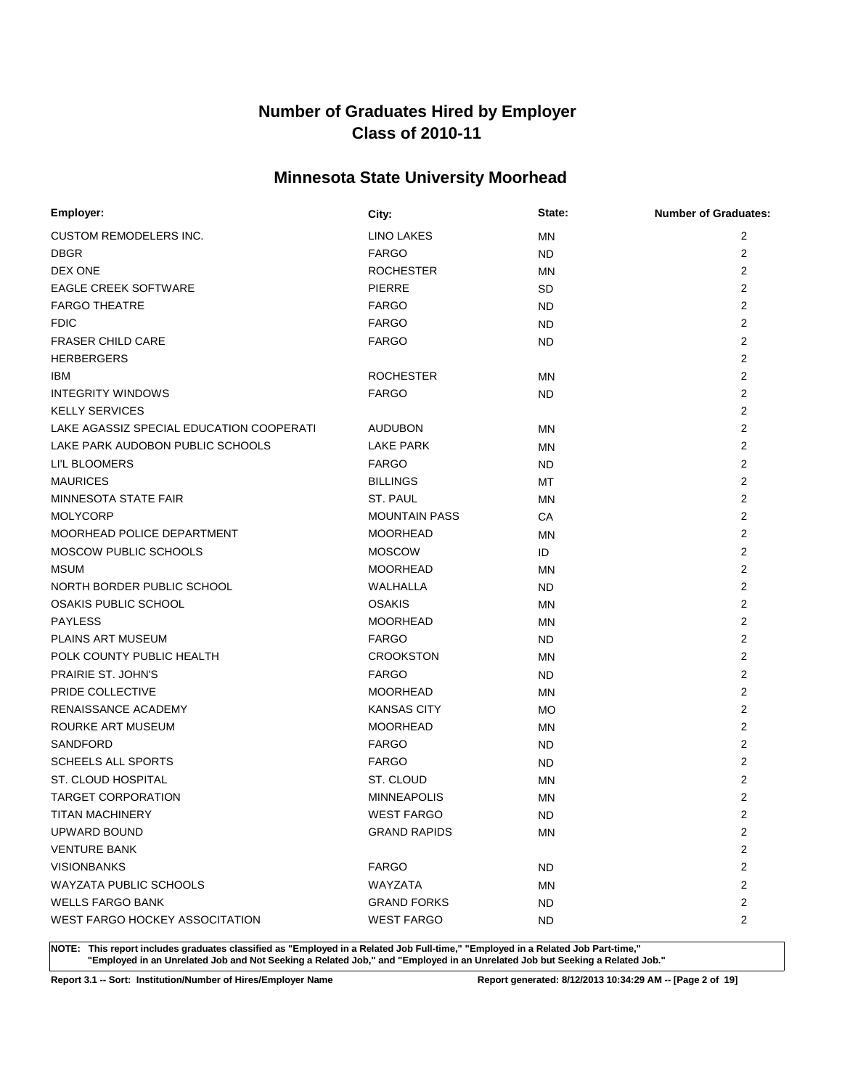# **Minnesota State University Moorhead**

| Employer:                                | City:                | State:    | <b>Number of Graduates:</b> |
|------------------------------------------|----------------------|-----------|-----------------------------|
| <b>CUSTOM REMODELERS INC.</b>            | LINO LAKES           | <b>MN</b> | $\overline{2}$              |
| <b>DBGR</b>                              | <b>FARGO</b>         | ND        | 2                           |
| DEX ONE                                  | <b>ROCHESTER</b>     | <b>MN</b> | $\overline{2}$              |
| <b>EAGLE CREEK SOFTWARE</b>              | <b>PIERRE</b>        | SD        | $\overline{2}$              |
| <b>FARGO THEATRE</b>                     | <b>FARGO</b>         | ND.       | $\overline{2}$              |
| <b>FDIC</b>                              | <b>FARGO</b>         | ND.       | 2                           |
| <b>FRASER CHILD CARE</b>                 | <b>FARGO</b>         | ND.       | $\overline{2}$              |
| <b>HERBERGERS</b>                        |                      |           | 2                           |
| IBM                                      | <b>ROCHESTER</b>     | <b>MN</b> | $\overline{2}$              |
| <b>INTEGRITY WINDOWS</b>                 | <b>FARGO</b>         | ND        | $\overline{2}$              |
| <b>KELLY SERVICES</b>                    |                      |           | 2                           |
| LAKE AGASSIZ SPECIAL EDUCATION COOPERATI | <b>AUDUBON</b>       | MN        | 2                           |
| LAKE PARK AUDOBON PUBLIC SCHOOLS         | <b>LAKE PARK</b>     | <b>MN</b> | 2                           |
| LI'L BLOOMERS                            | <b>FARGO</b>         | ND.       | $\overline{2}$              |
| <b>MAURICES</b>                          | <b>BILLINGS</b>      | MT        | $\overline{2}$              |
| MINNESOTA STATE FAIR                     | ST. PAUL             | MN        | 2                           |
| <b>MOLYCORP</b>                          | <b>MOUNTAIN PASS</b> | CA        | $\overline{2}$              |
| MOORHEAD POLICE DEPARTMENT               | <b>MOORHEAD</b>      | MN        | 2                           |
| MOSCOW PUBLIC SCHOOLS                    | <b>MOSCOW</b>        | ID        | $\overline{2}$              |
| <b>MSUM</b>                              | <b>MOORHEAD</b>      | MN        | $\overline{2}$              |
| NORTH BORDER PUBLIC SCHOOL               | WALHALLA             | ND.       | $\overline{2}$              |
| OSAKIS PUBLIC SCHOOL                     | <b>OSAKIS</b>        | MN        | $\overline{2}$              |
| <b>PAYLESS</b>                           | <b>MOORHEAD</b>      | <b>MN</b> | 2                           |
| <b>PLAINS ART MUSEUM</b>                 | <b>FARGO</b>         | ND.       | $\overline{2}$              |
| POLK COUNTY PUBLIC HEALTH                | <b>CROOKSTON</b>     | <b>MN</b> | $\overline{2}$              |
| PRAIRIE ST. JOHN'S                       | <b>FARGO</b>         | ND.       | $\overline{2}$              |
| PRIDE COLLECTIVE                         | <b>MOORHEAD</b>      | MN        | 2                           |
| RENAISSANCE ACADEMY                      | <b>KANSAS CITY</b>   | <b>MO</b> | $\overline{2}$              |
| ROURKE ART MUSEUM                        | <b>MOORHEAD</b>      | MN        | 2                           |
| SANDFORD                                 | <b>FARGO</b>         | ND.       | 2                           |
| <b>SCHEELS ALL SPORTS</b>                | <b>FARGO</b>         | ND        | 2                           |
| <b>ST. CLOUD HOSPITAL</b>                | ST. CLOUD            | <b>MN</b> | 2                           |
| <b>TARGET CORPORATION</b>                | <b>MINNEAPOLIS</b>   | MN        | $\overline{2}$              |
| <b>TITAN MACHINERY</b>                   | <b>WEST FARGO</b>    | <b>ND</b> | $\overline{2}$              |
| UPWARD BOUND                             | <b>GRAND RAPIDS</b>  | ΜN        | $\overline{2}$              |
| <b>VENTURE BANK</b>                      |                      |           | $\overline{c}$              |
| <b>VISIONBANKS</b>                       | <b>FARGO</b>         | <b>ND</b> | $\overline{2}$              |
| <b>WAYZATA PUBLIC SCHOOLS</b>            | WAYZATA              | ΜN        | $\overline{c}$              |
| <b>WELLS FARGO BANK</b>                  | <b>GRAND FORKS</b>   | ND.       | $\overline{c}$              |
| WEST FARGO HOCKEY ASSOCITATION           | <b>WEST FARGO</b>    | ND.       | $\overline{c}$              |

**NOTE: This report includes graduates classified as "Employed in a Related Job Full-time," "Employed in a Related Job Part-time," "Employed in an Unrelated Job and Not Seeking a Related Job," and "Employed in an Unrelated Job but Seeking a Related Job."**

**Report 3.1 -- Sort: Institution/Number of Hires/Employer Name Report generated: 8/12/2013 10:34:29 AM -- [Page 2 of 19]**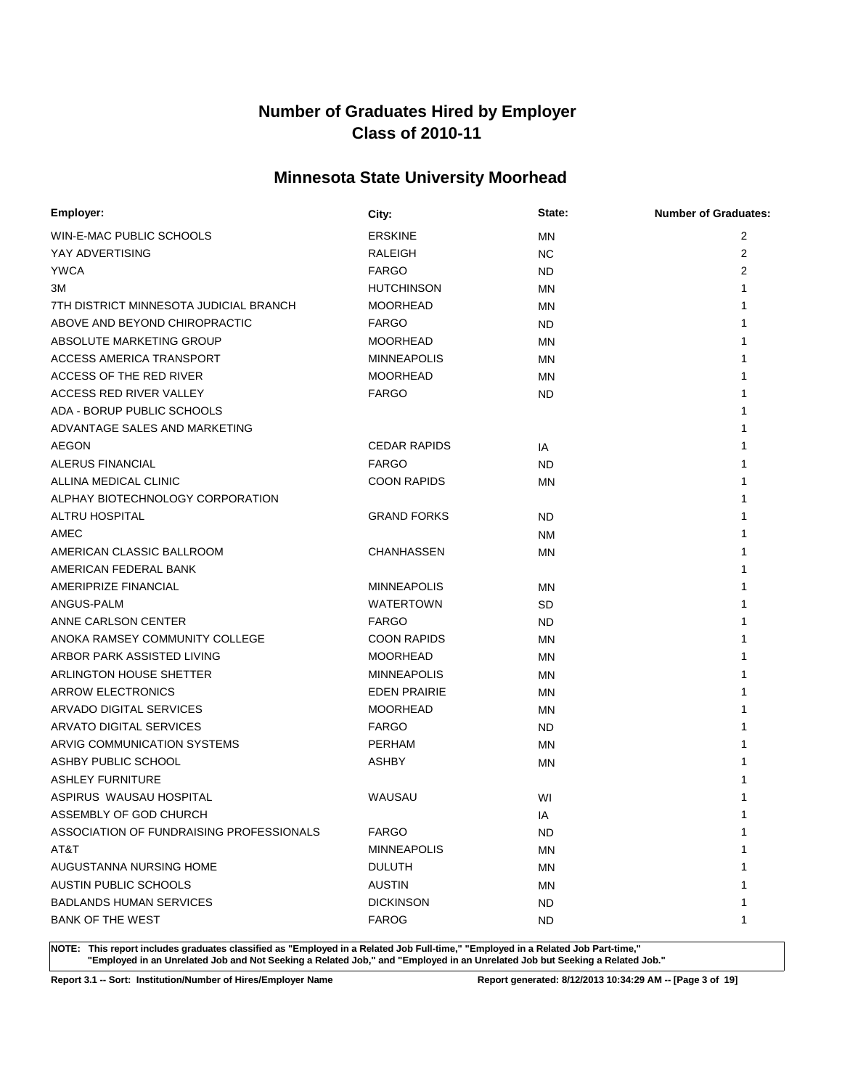# **Minnesota State University Moorhead**

| Employer:                                | City:               | State:    | <b>Number of Graduates:</b> |
|------------------------------------------|---------------------|-----------|-----------------------------|
| WIN-E-MAC PUBLIC SCHOOLS                 | <b>ERSKINE</b>      | <b>MN</b> | 2                           |
| YAY ADVERTISING                          | RALEIGH             | NC.       | 2                           |
| <b>YWCA</b>                              | <b>FARGO</b>        | ND        | 2                           |
| ЗM                                       | <b>HUTCHINSON</b>   | MN        | 1                           |
| 7TH DISTRICT MINNESOTA JUDICIAL BRANCH   | <b>MOORHEAD</b>     | MN        |                             |
| ABOVE AND BEYOND CHIROPRACTIC            | <b>FARGO</b>        | ND        |                             |
| ABSOLUTE MARKETING GROUP                 | <b>MOORHEAD</b>     | MN        |                             |
| <b>ACCESS AMERICA TRANSPORT</b>          | <b>MINNEAPOLIS</b>  | MN        |                             |
| ACCESS OF THE RED RIVER                  | <b>MOORHEAD</b>     | <b>MN</b> |                             |
| ACCESS RED RIVER VALLEY                  | <b>FARGO</b>        | ND        |                             |
| ADA - BORUP PUBLIC SCHOOLS               |                     |           |                             |
| ADVANTAGE SALES AND MARKETING            |                     |           |                             |
| <b>AEGON</b>                             | <b>CEDAR RAPIDS</b> | IA        |                             |
| ALERUS FINANCIAL                         | <b>FARGO</b>        | <b>ND</b> |                             |
| ALLINA MEDICAL CLINIC                    | <b>COON RAPIDS</b>  | <b>MN</b> |                             |
| ALPHAY BIOTECHNOLOGY CORPORATION         |                     |           |                             |
| <b>ALTRU HOSPITAL</b>                    | <b>GRAND FORKS</b>  | <b>ND</b> |                             |
| AMEC                                     |                     | <b>NM</b> |                             |
| AMERICAN CLASSIC BALLROOM                | <b>CHANHASSEN</b>   | MN        |                             |
| AMERICAN FEDERAL BANK                    |                     |           |                             |
| AMERIPRIZE FINANCIAL                     | <b>MINNEAPOLIS</b>  | MN        |                             |
| ANGUS-PALM                               | <b>WATERTOWN</b>    | SD        |                             |
| ANNE CARLSON CENTER                      | <b>FARGO</b>        | ND        |                             |
| ANOKA RAMSEY COMMUNITY COLLEGE           | <b>COON RAPIDS</b>  | MN        |                             |
| ARBOR PARK ASSISTED LIVING               | <b>MOORHEAD</b>     | <b>MN</b> |                             |
| ARLINGTON HOUSE SHETTER                  | <b>MINNEAPOLIS</b>  | <b>MN</b> |                             |
| ARROW ELECTRONICS                        | <b>EDEN PRAIRIE</b> | MN        |                             |
| ARVADO DIGITAL SERVICES                  | <b>MOORHEAD</b>     | ΜN        |                             |
| ARVATO DIGITAL SERVICES                  | <b>FARGO</b>        | ND        |                             |
| ARVIG COMMUNICATION SYSTEMS              | <b>PERHAM</b>       | <b>MN</b> |                             |
| ASHBY PUBLIC SCHOOL                      | <b>ASHBY</b>        | MN        |                             |
| <b>ASHLEY FURNITURE</b>                  |                     |           |                             |
| ASPIRUS WAUSAU HOSPITAL                  | WAUSAU              | WI        |                             |
| ASSEMBLY OF GOD CHURCH                   |                     | IA        | 1                           |
| ASSOCIATION OF FUNDRAISING PROFESSIONALS | <b>FARGO</b>        | ND.       | $\mathbf 1$                 |
| AT&T                                     | <b>MINNEAPOLIS</b>  | MN        |                             |
| AUGUSTANNA NURSING HOME                  | <b>DULUTH</b>       | MN        |                             |
| AUSTIN PUBLIC SCHOOLS                    | <b>AUSTIN</b>       | ΜN        |                             |
| <b>BADLANDS HUMAN SERVICES</b>           | <b>DICKINSON</b>    | ND.       |                             |
| <b>BANK OF THE WEST</b>                  | <b>FAROG</b>        | ND.       | 1                           |

**NOTE: This report includes graduates classified as "Employed in a Related Job Full-time," "Employed in a Related Job Part-time," "Employed in an Unrelated Job and Not Seeking a Related Job," and "Employed in an Unrelated Job but Seeking a Related Job."**

**Report 3.1 -- Sort: Institution/Number of Hires/Employer Name Report generated: 8/12/2013 10:34:29 AM -- [Page 3 of 19]**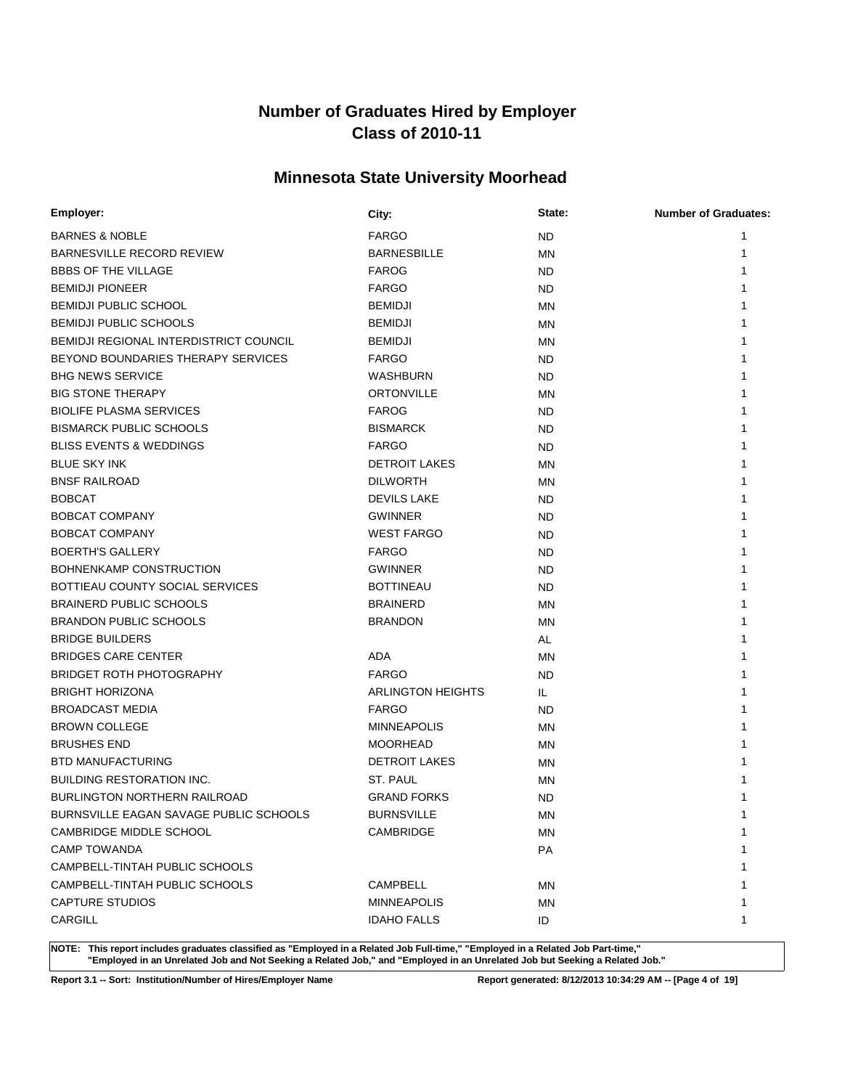# **Minnesota State University Moorhead**

| Employer:                                     | City:                    | State:    | <b>Number of Graduates:</b> |
|-----------------------------------------------|--------------------------|-----------|-----------------------------|
| <b>BARNES &amp; NOBLE</b>                     | <b>FARGO</b>             | ND.       | 1                           |
| BARNESVILLE RECORD REVIEW                     | <b>BARNESBILLE</b>       | ΜN        | 1                           |
| <b>BBBS OF THE VILLAGE</b>                    | <b>FAROG</b>             | ND.       |                             |
| <b>BEMIDJI PIONEER</b>                        | <b>FARGO</b>             | ND.       |                             |
| <b>BEMIDJI PUBLIC SCHOOL</b>                  | <b>BEMIDJI</b>           | <b>MN</b> |                             |
| <b>BEMIDJI PUBLIC SCHOOLS</b>                 | <b>BEMIDJI</b>           | ΜN        |                             |
| <b>BEMIDJI REGIONAL INTERDISTRICT COUNCIL</b> | <b>BEMIDJI</b>           | ΜN        |                             |
| BEYOND BOUNDARIES THERAPY SERVICES            | <b>FARGO</b>             | ND.       |                             |
| <b>BHG NEWS SERVICE</b>                       | WASHBURN                 | ND.       |                             |
| <b>BIG STONE THERAPY</b>                      | <b>ORTONVILLE</b>        | ΜN        |                             |
| <b>BIOLIFE PLASMA SERVICES</b>                | <b>FAROG</b>             | ND.       |                             |
| <b>BISMARCK PUBLIC SCHOOLS</b>                | <b>BISMARCK</b>          | ND.       |                             |
| <b>BLISS EVENTS &amp; WEDDINGS</b>            | <b>FARGO</b>             | ND.       |                             |
| <b>BLUE SKY INK</b>                           | <b>DETROIT LAKES</b>     | ΜN        |                             |
| <b>BNSF RAILROAD</b>                          | <b>DILWORTH</b>          | ΜN        |                             |
| <b>BOBCAT</b>                                 | <b>DEVILS LAKE</b>       | ND.       |                             |
| BOBCAT COMPANY                                | <b>GWINNER</b>           | ND        |                             |
| <b>BOBCAT COMPANY</b>                         | <b>WEST FARGO</b>        | <b>ND</b> |                             |
| <b>BOERTH'S GALLERY</b>                       | <b>FARGO</b>             | ND.       |                             |
| BOHNENKAMP CONSTRUCTION                       | <b>GWINNER</b>           | ND.       |                             |
| BOTTIEAU COUNTY SOCIAL SERVICES               | <b>BOTTINEAU</b>         | ND.       |                             |
| <b>BRAINERD PUBLIC SCHOOLS</b>                | <b>BRAINERD</b>          | ΜN        |                             |
| <b>BRANDON PUBLIC SCHOOLS</b>                 | <b>BRANDON</b>           | ΜN        |                             |
| <b>BRIDGE BUILDERS</b>                        |                          | AL        |                             |
| <b>BRIDGES CARE CENTER</b>                    | ADA                      | ΜN        |                             |
| <b>BRIDGET ROTH PHOTOGRAPHY</b>               | <b>FARGO</b>             | ND.       |                             |
| <b>BRIGHT HORIZONA</b>                        | <b>ARLINGTON HEIGHTS</b> | IL.       |                             |
| <b>BROADCAST MEDIA</b>                        | <b>FARGO</b>             | ND.       |                             |
| <b>BROWN COLLEGE</b>                          | <b>MINNEAPOLIS</b>       | ΜN        |                             |
| <b>BRUSHES END</b>                            | <b>MOORHEAD</b>          | MN        |                             |
| <b>BTD MANUFACTURING</b>                      | <b>DETROIT LAKES</b>     | ΜN        |                             |
| <b>BUILDING RESTORATION INC.</b>              | ST. PAUL                 | ΜN        |                             |
| <b>BURLINGTON NORTHERN RAILROAD</b>           | <b>GRAND FORKS</b>       | ND        |                             |
| BURNSVILLE EAGAN SAVAGE PUBLIC SCHOOLS        | <b>BURNSVILLE</b>        | MN        | 1                           |
| CAMBRIDGE MIDDLE SCHOOL                       | CAMBRIDGE                | ΜN        | 1                           |
| <b>CAMP TOWANDA</b>                           |                          | PA        |                             |
| CAMPBELL-TINTAH PUBLIC SCHOOLS                |                          |           |                             |
| CAMPBELL-TINTAH PUBLIC SCHOOLS                | CAMPBELL                 | ΜN        |                             |
| <b>CAPTURE STUDIOS</b>                        | <b>MINNEAPOLIS</b>       | ΜN        |                             |
| CARGILL                                       | <b>IDAHO FALLS</b>       | ID        | 1                           |

**NOTE: This report includes graduates classified as "Employed in a Related Job Full-time," "Employed in a Related Job Part-time," "Employed in an Unrelated Job and Not Seeking a Related Job," and "Employed in an Unrelated Job but Seeking a Related Job."**

**Report 3.1 -- Sort: Institution/Number of Hires/Employer Name Report generated: 8/12/2013 10:34:29 AM -- [Page 4 of 19]**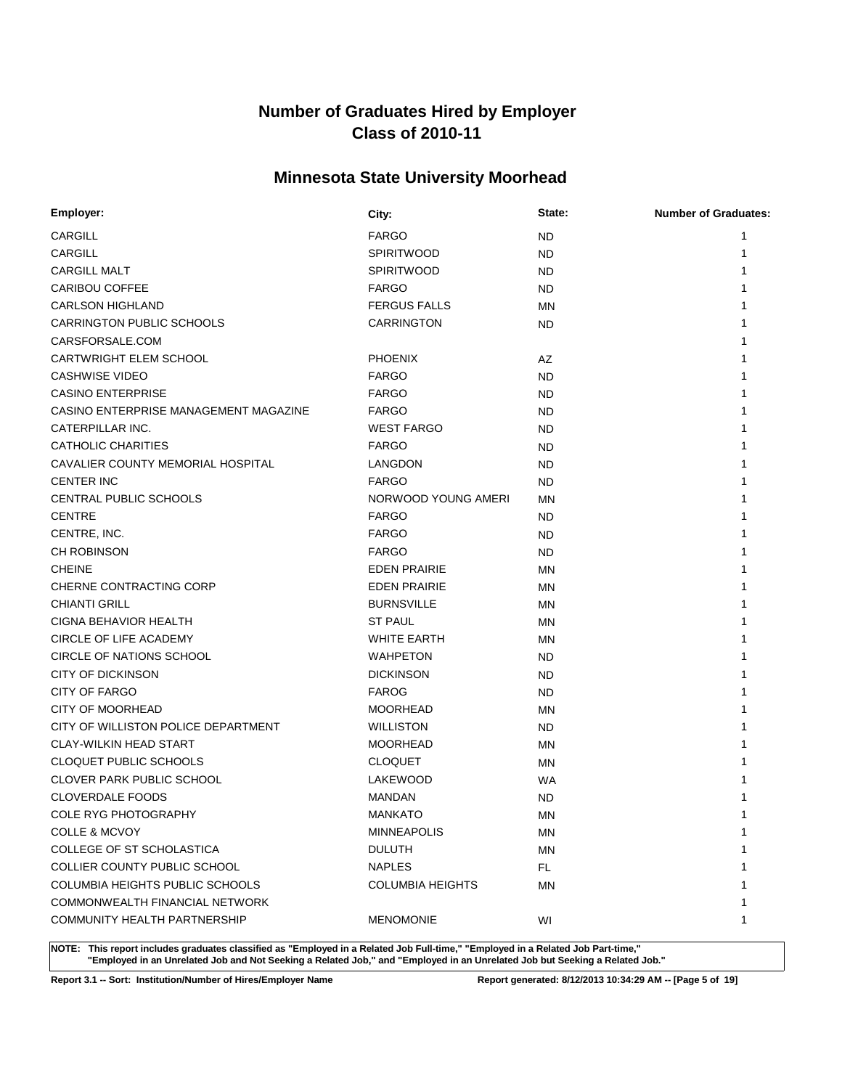# **Minnesota State University Moorhead**

| Employer:                              | City:                   | State:    | <b>Number of Graduates:</b> |
|----------------------------------------|-------------------------|-----------|-----------------------------|
| CARGILL                                | <b>FARGO</b>            | <b>ND</b> | 1                           |
| <b>CARGILL</b>                         | <b>SPIRITWOOD</b>       | ND        | 1                           |
| <b>CARGILL MALT</b>                    | <b>SPIRITWOOD</b>       | ND        |                             |
| <b>CARIBOU COFFEE</b>                  | <b>FARGO</b>            | ND        |                             |
| <b>CARLSON HIGHLAND</b>                | <b>FERGUS FALLS</b>     | MN        |                             |
| <b>CARRINGTON PUBLIC SCHOOLS</b>       | <b>CARRINGTON</b>       | ND.       |                             |
| CARSFORSALE.COM                        |                         |           |                             |
| <b>CARTWRIGHT ELEM SCHOOL</b>          | <b>PHOENIX</b>          | AZ        |                             |
| <b>CASHWISE VIDEO</b>                  | <b>FARGO</b>            | ND        |                             |
| <b>CASINO ENTERPRISE</b>               | <b>FARGO</b>            | ND        |                             |
| CASINO ENTERPRISE MANAGEMENT MAGAZINE  | <b>FARGO</b>            | ND.       |                             |
| CATERPILLAR INC.                       | <b>WEST FARGO</b>       | ND.       |                             |
| CATHOLIC CHARITIES                     | <b>FARGO</b>            | <b>ND</b> |                             |
| CAVALIER COUNTY MEMORIAL HOSPITAL      | LANGDON                 | ND        |                             |
| <b>CENTER INC</b>                      | <b>FARGO</b>            | ND        |                             |
| CENTRAL PUBLIC SCHOOLS                 | NORWOOD YOUNG AMERI     | MN        |                             |
| <b>CENTRE</b>                          | <b>FARGO</b>            | ND        |                             |
| CENTRE, INC.                           | <b>FARGO</b>            | ND        |                             |
| <b>CH ROBINSON</b>                     | <b>FARGO</b>            | <b>ND</b> |                             |
| <b>CHEINE</b>                          | <b>EDEN PRAIRIE</b>     | <b>MN</b> |                             |
| CHERNE CONTRACTING CORP                | <b>EDEN PRAIRIE</b>     | <b>MN</b> |                             |
| <b>CHIANTI GRILL</b>                   | <b>BURNSVILLE</b>       | ΜN        |                             |
| CIGNA BEHAVIOR HEALTH                  | <b>ST PAUL</b>          | ΜN        |                             |
| CIRCLE OF LIFE ACADEMY                 | <b>WHITE EARTH</b>      | <b>MN</b> |                             |
| CIRCLE OF NATIONS SCHOOL               | <b>WAHPETON</b>         | ND.       |                             |
| <b>CITY OF DICKINSON</b>               | <b>DICKINSON</b>        | ND        |                             |
| CITY OF FARGO                          | <b>FAROG</b>            | ND.       |                             |
| <b>CITY OF MOORHEAD</b>                | <b>MOORHEAD</b>         | MN        |                             |
| CITY OF WILLISTON POLICE DEPARTMENT    | <b>WILLISTON</b>        | ND.       |                             |
| <b>CLAY-WILKIN HEAD START</b>          | <b>MOORHEAD</b>         | <b>MN</b> |                             |
| CLOQUET PUBLIC SCHOOLS                 | <b>CLOQUET</b>          | MN        |                             |
| <b>CLOVER PARK PUBLIC SCHOOL</b>       | LAKEWOOD                | WA        |                             |
| <b>CLOVERDALE FOODS</b>                | <b>MANDAN</b>           | <b>ND</b> |                             |
| <b>COLE RYG PHOTOGRAPHY</b>            | <b>MANKATO</b>          | MN        | 1                           |
| COLLE & MCVOY                          | <b>MINNEAPOLIS</b>      | ΜN        | 1                           |
| COLLEGE OF ST SCHOLASTICA              | <b>DULUTH</b>           | MN        |                             |
| <b>COLLIER COUNTY PUBLIC SCHOOL</b>    | <b>NAPLES</b>           | FL.       |                             |
| <b>COLUMBIA HEIGHTS PUBLIC SCHOOLS</b> | <b>COLUMBIA HEIGHTS</b> | <b>MN</b> |                             |
| COMMONWEALTH FINANCIAL NETWORK         |                         |           |                             |
| COMMUNITY HEALTH PARTNERSHIP           | <b>MENOMONIE</b>        | WI        | 1                           |

**NOTE: This report includes graduates classified as "Employed in a Related Job Full-time," "Employed in a Related Job Part-time," "Employed in an Unrelated Job and Not Seeking a Related Job," and "Employed in an Unrelated Job but Seeking a Related Job."**

**Report 3.1 -- Sort: Institution/Number of Hires/Employer Name Report generated: 8/12/2013 10:34:29 AM -- [Page 5 of 19]**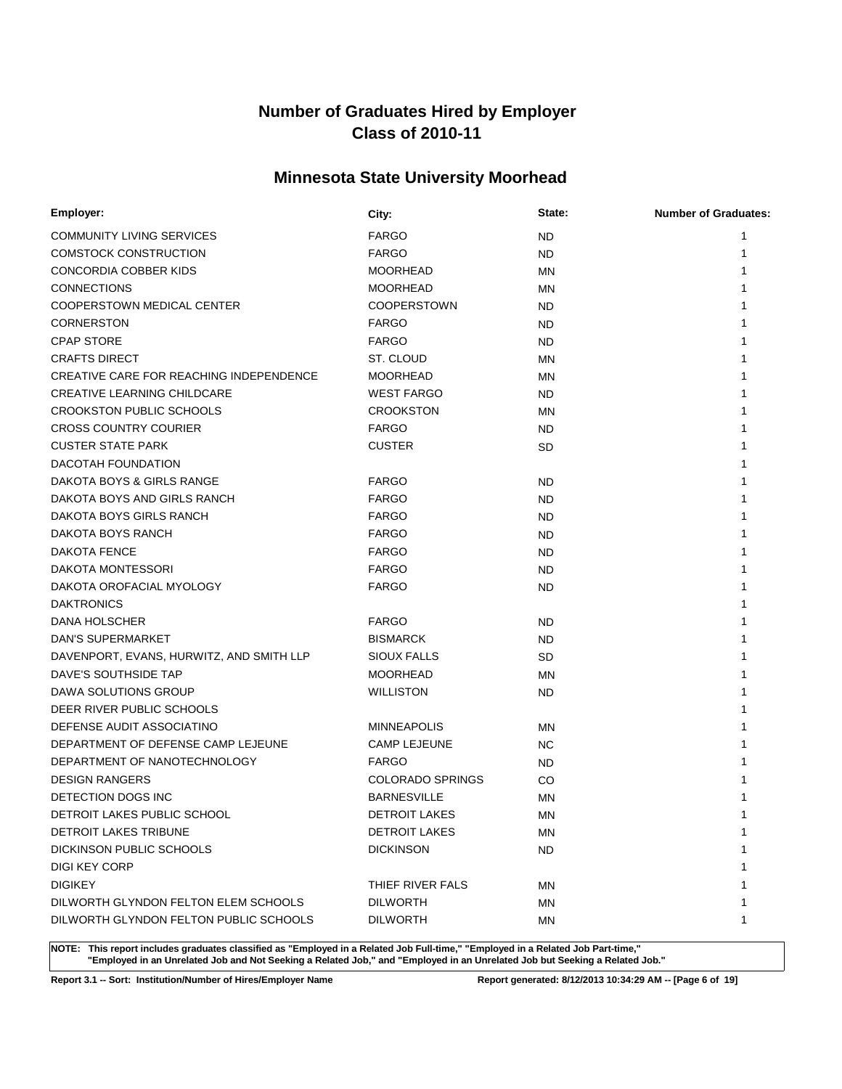# **Minnesota State University Moorhead**

| Employer:                                      | City:                   | State:    | <b>Number of Graduates:</b> |
|------------------------------------------------|-------------------------|-----------|-----------------------------|
| <b>COMMUNITY LIVING SERVICES</b>               | <b>FARGO</b>            | ND.       |                             |
| <b>COMSTOCK CONSTRUCTION</b>                   | <b>FARGO</b>            | <b>ND</b> | 1                           |
| CONCORDIA COBBER KIDS                          | <b>MOORHEAD</b>         | <b>MN</b> |                             |
| <b>CONNECTIONS</b>                             | <b>MOORHEAD</b>         | MN        |                             |
| COOPERSTOWN MEDICAL CENTER                     | <b>COOPERSTOWN</b>      | ND.       |                             |
| <b>CORNERSTON</b>                              | <b>FARGO</b>            | ND.       |                             |
| <b>CPAP STORE</b>                              | <b>FARGO</b>            | ND.       |                             |
| <b>CRAFTS DIRECT</b>                           | ST. CLOUD               | MN        |                             |
| <b>CREATIVE CARE FOR REACHING INDEPENDENCE</b> | <b>MOORHEAD</b>         | MN        |                             |
| <b>CREATIVE LEARNING CHILDCARE</b>             | <b>WEST FARGO</b>       | ND.       |                             |
| <b>CROOKSTON PUBLIC SCHOOLS</b>                | <b>CROOKSTON</b>        | <b>MN</b> |                             |
| <b>CROSS COUNTRY COURIER</b>                   | <b>FARGO</b>            | ND.       |                             |
| <b>CUSTER STATE PARK</b>                       | <b>CUSTER</b>           | SD.       |                             |
| DACOTAH FOUNDATION                             |                         |           |                             |
| DAKOTA BOYS & GIRLS RANGE                      | <b>FARGO</b>            | <b>ND</b> |                             |
| DAKOTA BOYS AND GIRLS RANCH                    | <b>FARGO</b>            | ND.       |                             |
| DAKOTA BOYS GIRLS RANCH                        | <b>FARGO</b>            | <b>ND</b> |                             |
| DAKOTA BOYS RANCH                              | <b>FARGO</b>            | <b>ND</b> |                             |
| <b>DAKOTA FENCE</b>                            | <b>FARGO</b>            | <b>ND</b> |                             |
| <b>DAKOTA MONTESSORI</b>                       | <b>FARGO</b>            | ND.       |                             |
| DAKOTA OROFACIAL MYOLOGY                       | <b>FARGO</b>            | ND.       |                             |
| <b>DAKTRONICS</b>                              |                         |           |                             |
| DANA HOLSCHER                                  | <b>FARGO</b>            | ND.       |                             |
| DAN'S SUPERMARKET                              | <b>BISMARCK</b>         | ND.       |                             |
| DAVENPORT, EVANS, HURWITZ, AND SMITH LLP       | SIOUX FALLS             | SD        |                             |
| DAVE'S SOUTHSIDE TAP                           | <b>MOORHEAD</b>         | MN        |                             |
| DAWA SOLUTIONS GROUP                           | <b>WILLISTON</b>        | ND.       |                             |
| DEER RIVER PUBLIC SCHOOLS                      |                         |           |                             |
| DEFENSE AUDIT ASSOCIATINO                      | <b>MINNEAPOLIS</b>      | MN        |                             |
| DEPARTMENT OF DEFENSE CAMP LEJEUNE             | <b>CAMP LEJEUNE</b>     | NC.       |                             |
| DEPARTMENT OF NANOTECHNOLOGY                   | <b>FARGO</b>            | ND.       |                             |
| <b>DESIGN RANGERS</b>                          | <b>COLORADO SPRINGS</b> | CO        |                             |
| DETECTION DOGS INC                             | <b>BARNESVILLE</b>      | ΜN        |                             |
| <b>DETROIT LAKES PUBLIC SCHOOL</b>             | <b>DETROIT LAKES</b>    | ΜN        | 1                           |
| DETROIT LAKES TRIBUNE                          | <b>DETROIT LAKES</b>    | ΜN        | 1                           |
| DICKINSON PUBLIC SCHOOLS                       | <b>DICKINSON</b>        | ND.       |                             |
| DIGI KEY CORP                                  |                         |           |                             |
| <b>DIGIKEY</b>                                 | THIEF RIVER FALS        | ΜN        |                             |
| DILWORTH GLYNDON FELTON ELEM SCHOOLS           | <b>DILWORTH</b>         | ΜN        | 1                           |
| DILWORTH GLYNDON FELTON PUBLIC SCHOOLS         | <b>DILWORTH</b>         | ΜN        | 1                           |

**NOTE: This report includes graduates classified as "Employed in a Related Job Full-time," "Employed in a Related Job Part-time," "Employed in an Unrelated Job and Not Seeking a Related Job," and "Employed in an Unrelated Job but Seeking a Related Job."**

**Report 3.1 -- Sort: Institution/Number of Hires/Employer Name Report generated: 8/12/2013 10:34:29 AM -- [Page 6 of 19]**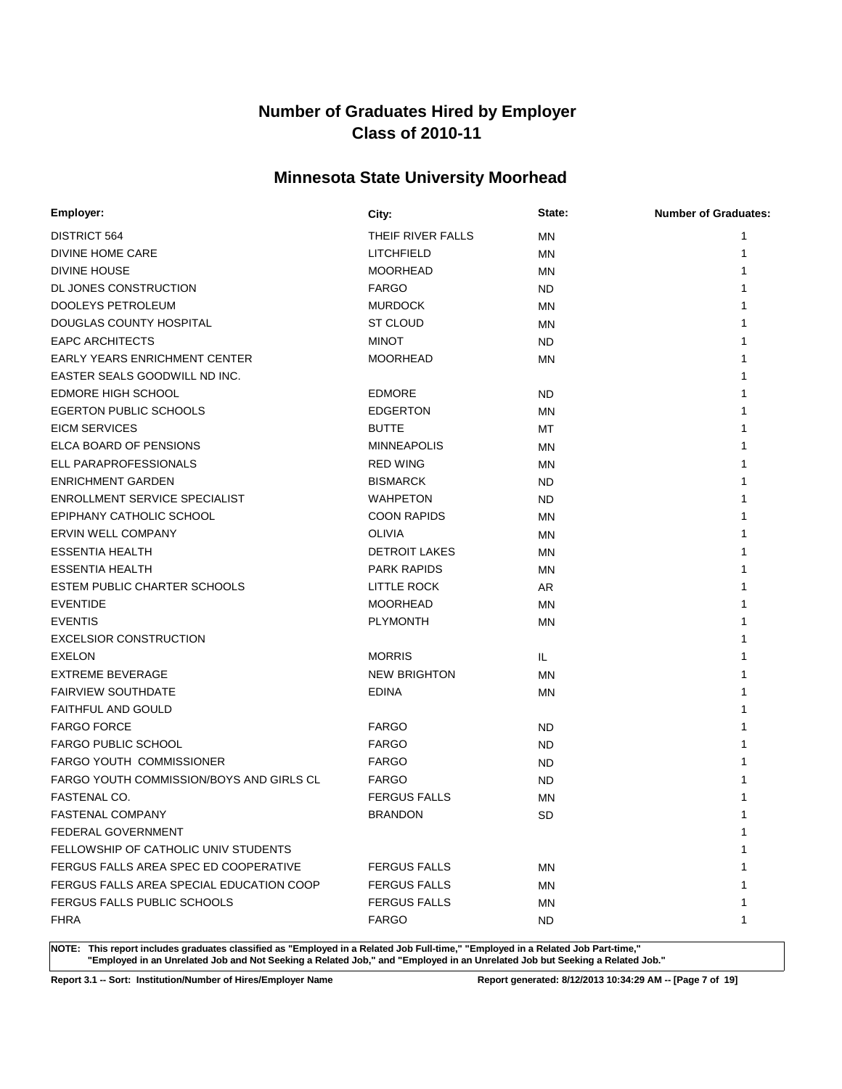# **Minnesota State University Moorhead**

| Employer:                                | City:                | State:    | <b>Number of Graduates:</b> |
|------------------------------------------|----------------------|-----------|-----------------------------|
| <b>DISTRICT 564</b>                      | THEIF RIVER FALLS    | ΜN        | 1                           |
| DIVINE HOME CARE                         | LITCHFIELD           | <b>MN</b> | 1                           |
| <b>DIVINE HOUSE</b>                      | <b>MOORHEAD</b>      | MN        |                             |
| DL JONES CONSTRUCTION                    | <b>FARGO</b>         | ND.       |                             |
| DOOLEYS PETROLEUM                        | <b>MURDOCK</b>       | ΜN        |                             |
| DOUGLAS COUNTY HOSPITAL                  | ST CLOUD             | <b>MN</b> |                             |
| <b>EAPC ARCHITECTS</b>                   | <b>MINOT</b>         | ND.       |                             |
| <b>EARLY YEARS ENRICHMENT CENTER</b>     | <b>MOORHEAD</b>      | <b>MN</b> |                             |
| EASTER SEALS GOODWILL ND INC.            |                      |           |                             |
| <b>EDMORE HIGH SCHOOL</b>                | <b>EDMORE</b>        | ND.       |                             |
| <b>EGERTON PUBLIC SCHOOLS</b>            | <b>EDGERTON</b>      | ΜN        |                             |
| <b>EICM SERVICES</b>                     | <b>BUTTE</b>         | МT        |                             |
| ELCA BOARD OF PENSIONS                   | <b>MINNEAPOLIS</b>   | ΜN        |                             |
| ELL PARAPROFESSIONALS                    | <b>RED WING</b>      | MN        |                             |
| <b>ENRICHMENT GARDEN</b>                 | <b>BISMARCK</b>      | ND.       |                             |
| <b>ENROLLMENT SERVICE SPECIALIST</b>     | WAHPETON             | ND.       |                             |
| EPIPHANY CATHOLIC SCHOOL                 | <b>COON RAPIDS</b>   | ΜN        |                             |
| <b>ERVIN WELL COMPANY</b>                | <b>OLIVIA</b>        | MN        |                             |
| <b>ESSENTIA HEALTH</b>                   | <b>DETROIT LAKES</b> | MN        |                             |
| <b>ESSENTIA HEALTH</b>                   | <b>PARK RAPIDS</b>   | <b>MN</b> |                             |
| <b>ESTEM PUBLIC CHARTER SCHOOLS</b>      | LITTLE ROCK          | AR        |                             |
| <b>EVENTIDE</b>                          | <b>MOORHEAD</b>      | <b>MN</b> |                             |
| <b>EVENTIS</b>                           | <b>PLYMONTH</b>      | MN        |                             |
| <b>EXCELSIOR CONSTRUCTION</b>            |                      |           |                             |
| <b>EXELON</b>                            | <b>MORRIS</b>        | IL.       |                             |
| <b>EXTREME BEVERAGE</b>                  | <b>NEW BRIGHTON</b>  | ΜN        |                             |
| <b>FAIRVIEW SOUTHDATE</b>                | <b>EDINA</b>         | MN        |                             |
| <b>FAITHFUL AND GOULD</b>                |                      |           |                             |
| <b>FARGO FORCE</b>                       | <b>FARGO</b>         | <b>ND</b> |                             |
| <b>FARGO PUBLIC SCHOOL</b>               | <b>FARGO</b>         | ND.       |                             |
| <b>FARGO YOUTH COMMISSIONER</b>          | <b>FARGO</b>         | <b>ND</b> |                             |
| FARGO YOUTH COMMISSION/BOYS AND GIRLS CL | <b>FARGO</b>         | <b>ND</b> |                             |
| FASTENAL CO.                             | <b>FERGUS FALLS</b>  | <b>MN</b> |                             |
| FASTENAL COMPANY                         | <b>BRANDON</b>       | <b>SD</b> |                             |
| FEDERAL GOVERNMENT                       |                      |           | 1                           |
| FELLOWSHIP OF CATHOLIC UNIV STUDENTS     |                      |           |                             |
| FERGUS FALLS AREA SPEC ED COOPERATIVE    | <b>FERGUS FALLS</b>  | ΜN        |                             |
| FERGUS FALLS AREA SPECIAL EDUCATION COOP | <b>FERGUS FALLS</b>  | ΜN        |                             |
| FERGUS FALLS PUBLIC SCHOOLS              | <b>FERGUS FALLS</b>  | ΜN        |                             |
| FHRA                                     | <b>FARGO</b>         | ND.       | 1                           |

**NOTE: This report includes graduates classified as "Employed in a Related Job Full-time," "Employed in a Related Job Part-time," "Employed in an Unrelated Job and Not Seeking a Related Job," and "Employed in an Unrelated Job but Seeking a Related Job."**

**Report 3.1 -- Sort: Institution/Number of Hires/Employer Name Report generated: 8/12/2013 10:34:29 AM -- [Page 7 of 19]**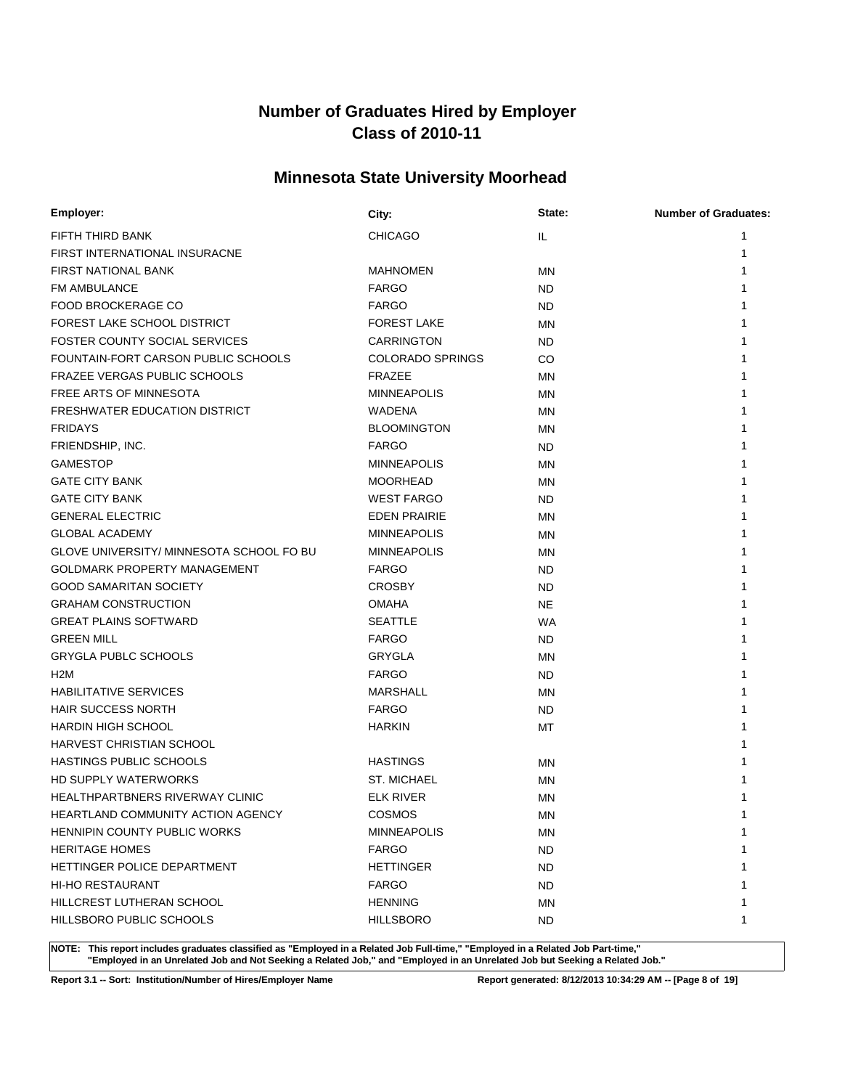# **Minnesota State University Moorhead**

| Employer:                                  | City:                   | State:    | <b>Number of Graduates:</b> |
|--------------------------------------------|-------------------------|-----------|-----------------------------|
| FIFTH THIRD BANK                           | <b>CHICAGO</b>          | IL.       | 1                           |
| FIRST INTERNATIONAL INSURACNE              |                         |           | 1                           |
| FIRST NATIONAL BANK                        | <b>MAHNOMEN</b>         | ΜN        | 1                           |
| <b>FM AMBULANCE</b>                        | <b>FARGO</b>            | ND.       |                             |
| <b>FOOD BROCKERAGE CO</b>                  | <b>FARGO</b>            | ND.       |                             |
| FOREST LAKE SCHOOL DISTRICT                | <b>FOREST LAKE</b>      | ΜN        |                             |
| <b>FOSTER COUNTY SOCIAL SERVICES</b>       | <b>CARRINGTON</b>       | ND.       |                             |
| <b>FOUNTAIN-FORT CARSON PUBLIC SCHOOLS</b> | <b>COLORADO SPRINGS</b> | CO        |                             |
| <b>FRAZEE VERGAS PUBLIC SCHOOLS</b>        | <b>FRAZEE</b>           | <b>MN</b> |                             |
| FREE ARTS OF MINNESOTA                     | <b>MINNEAPOLIS</b>      | ΜN        |                             |
| <b>FRESHWATER EDUCATION DISTRICT</b>       | WADENA                  | <b>MN</b> |                             |
| <b>FRIDAYS</b>                             | <b>BLOOMINGTON</b>      | ΜN        |                             |
| FRIENDSHIP, INC.                           | <b>FARGO</b>            | ND.       |                             |
| <b>GAMESTOP</b>                            | <b>MINNEAPOLIS</b>      | ΜN        |                             |
| <b>GATE CITY BANK</b>                      | <b>MOORHEAD</b>         | ΜN        |                             |
| <b>GATE CITY BANK</b>                      | <b>WEST FARGO</b>       | ND.       |                             |
| <b>GENERAL ELECTRIC</b>                    | <b>EDEN PRAIRIE</b>     | MN        |                             |
| <b>GLOBAL ACADEMY</b>                      | <b>MINNEAPOLIS</b>      | ΜN        |                             |
| GLOVE UNIVERSITY/ MINNESOTA SCHOOL FO BU   | <b>MINNEAPOLIS</b>      | MN        |                             |
| GOLDMARK PROPERTY MANAGEMENT               | <b>FARGO</b>            | ND.       |                             |
| <b>GOOD SAMARITAN SOCIETY</b>              | <b>CROSBY</b>           | ND.       |                             |
| <b>GRAHAM CONSTRUCTION</b>                 | <b>OMAHA</b>            | <b>NE</b> |                             |
| <b>GREAT PLAINS SOFTWARD</b>               | <b>SEATTLE</b>          | WA        |                             |
| <b>GREEN MILL</b>                          | <b>FARGO</b>            | ND.       |                             |
| <b>GRYGLA PUBLC SCHOOLS</b>                | <b>GRYGLA</b>           | MN        |                             |
| H <sub>2</sub> M                           | <b>FARGO</b>            | ND.       |                             |
| <b>HABILITATIVE SERVICES</b>               | <b>MARSHALL</b>         | ΜN        |                             |
| <b>HAIR SUCCESS NORTH</b>                  | <b>FARGO</b>            | ND.       |                             |
| <b>HARDIN HIGH SCHOOL</b>                  | <b>HARKIN</b>           | МT        |                             |
| <b>HARVEST CHRISTIAN SCHOOL</b>            |                         |           |                             |
| <b>HASTINGS PUBLIC SCHOOLS</b>             | <b>HASTINGS</b>         | ΜN        |                             |
| HD SUPPLY WATERWORKS                       | <b>ST. MICHAEL</b>      | MN        |                             |
| <b>HEALTHPARTBNERS RIVERWAY CLINIC</b>     | <b>ELK RIVER</b>        | ΜN        |                             |
| <b>HEARTLAND COMMUNITY ACTION AGENCY</b>   | <b>COSMOS</b>           | ΜN        | 1                           |
| HENNIPIN COUNTY PUBLIC WORKS               | <b>MINNEAPOLIS</b>      | ΜN        | 1                           |
| <b>HERITAGE HOMES</b>                      | <b>FARGO</b>            | ND.       |                             |
| HETTINGER POLICE DEPARTMENT                | <b>HETTINGER</b>        | ND.       |                             |
| <b>HI-HO RESTAURANT</b>                    | <b>FARGO</b>            | ND.       |                             |
| HILLCREST LUTHERAN SCHOOL                  | <b>HENNING</b>          | ΜN        |                             |
| HILLSBORO PUBLIC SCHOOLS                   | <b>HILLSBORO</b>        | ND.       | 1                           |

**NOTE: This report includes graduates classified as "Employed in a Related Job Full-time," "Employed in a Related Job Part-time," "Employed in an Unrelated Job and Not Seeking a Related Job," and "Employed in an Unrelated Job but Seeking a Related Job."**

**Report 3.1 -- Sort: Institution/Number of Hires/Employer Name Report generated: 8/12/2013 10:34:29 AM -- [Page 8 of 19]**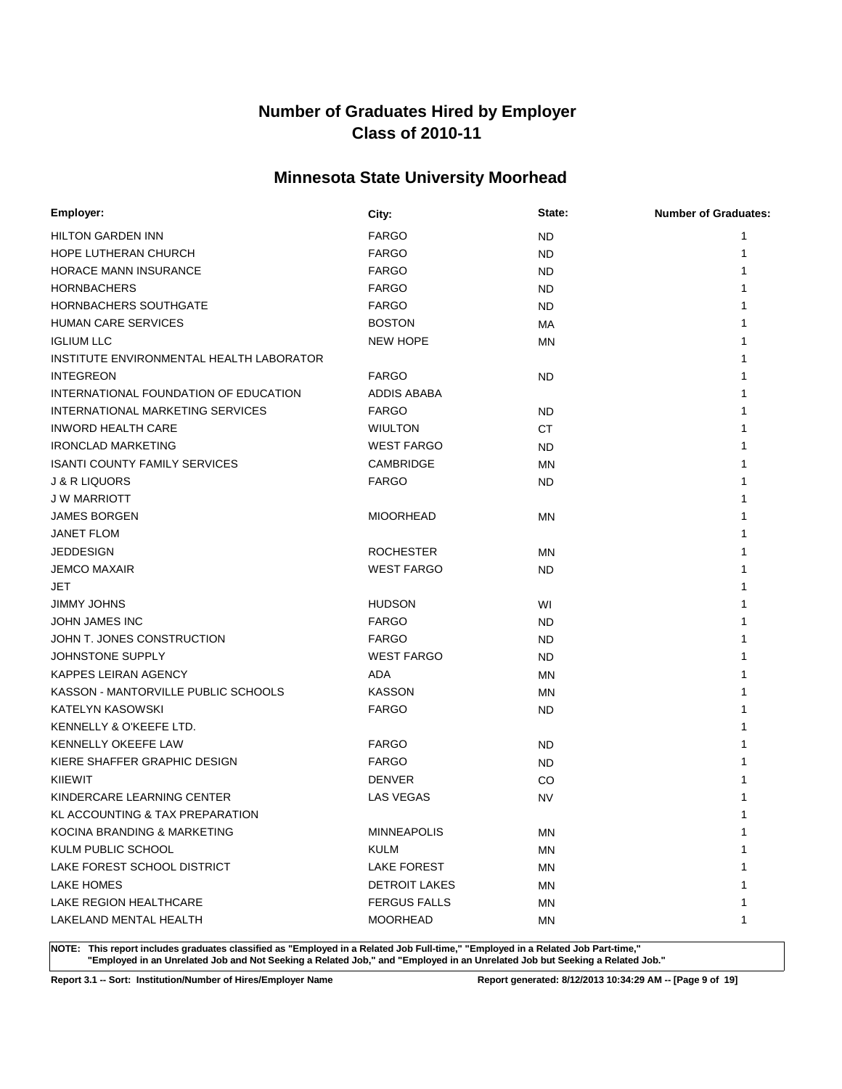# **Minnesota State University Moorhead**

| Employer:                                  | City:                | State:    | <b>Number of Graduates:</b> |
|--------------------------------------------|----------------------|-----------|-----------------------------|
| <b>HILTON GARDEN INN</b>                   | <b>FARGO</b>         | <b>ND</b> | 1                           |
| <b>HOPE LUTHERAN CHURCH</b>                | <b>FARGO</b>         | <b>ND</b> | 1                           |
| <b>HORACE MANN INSURANCE</b>               | <b>FARGO</b>         | <b>ND</b> |                             |
| <b>HORNBACHERS</b>                         | <b>FARGO</b>         | <b>ND</b> |                             |
| HORNBACHERS SOUTHGATE                      | <b>FARGO</b>         | ND        |                             |
| <b>HUMAN CARE SERVICES</b>                 | <b>BOSTON</b>        | МA        |                             |
| <b>IGLIUM LLC</b>                          | <b>NEW HOPE</b>      | <b>MN</b> |                             |
| INSTITUTE ENVIRONMENTAL HEALTH LABORATOR   |                      |           |                             |
| <b>INTEGREON</b>                           | <b>FARGO</b>         | <b>ND</b> |                             |
| INTERNATIONAL FOUNDATION OF EDUCATION      | ADDIS ABABA          |           |                             |
| INTERNATIONAL MARKETING SERVICES           | <b>FARGO</b>         | <b>ND</b> |                             |
| <b>INWORD HEALTH CARE</b>                  | <b>WIULTON</b>       | <b>CT</b> |                             |
| <b>IRONCLAD MARKETING</b>                  | <b>WEST FARGO</b>    | <b>ND</b> |                             |
| <b>ISANTI COUNTY FAMILY SERVICES</b>       | CAMBRIDGE            | <b>MN</b> |                             |
| <b>J &amp; R LIQUORS</b>                   | <b>FARGO</b>         | <b>ND</b> |                             |
| <b>JW MARRIOTT</b>                         |                      |           |                             |
| <b>JAMES BORGEN</b>                        | <b>MIOORHEAD</b>     | <b>MN</b> |                             |
| <b>JANET FLOM</b>                          |                      |           |                             |
| <b>JEDDESIGN</b>                           | <b>ROCHESTER</b>     | <b>MN</b> |                             |
| <b>JEMCO MAXAIR</b>                        | <b>WEST FARGO</b>    | ND        |                             |
| JET                                        |                      |           |                             |
| JIMMY JOHNS                                | <b>HUDSON</b>        | WI        |                             |
| <b>JOHN JAMES INC</b>                      | <b>FARGO</b>         | ND        |                             |
| JOHN T. JONES CONSTRUCTION                 | <b>FARGO</b>         | ND        |                             |
| JOHNSTONE SUPPLY                           | <b>WEST FARGO</b>    | ND        |                             |
| KAPPES LEIRAN AGENCY                       | ADA                  | <b>MN</b> |                             |
| KASSON - MANTORVILLE PUBLIC SCHOOLS        | <b>KASSON</b>        | <b>MN</b> |                             |
| KATELYN KASOWSKI                           | <b>FARGO</b>         | ND        |                             |
| KENNELLY & O'KEEFE LTD.                    |                      |           |                             |
| KENNELLY OKEEFE LAW                        | <b>FARGO</b>         | ND        |                             |
| KIERE SHAFFER GRAPHIC DESIGN               | <b>FARGO</b>         | ND        |                             |
| KIIEWIT                                    | <b>DENVER</b>        | CO        |                             |
| KINDERCARE LEARNING CENTER                 | LAS VEGAS            | <b>NV</b> |                             |
| <b>KL ACCOUNTING &amp; TAX PREPARATION</b> |                      |           | 1                           |
| KOCINA BRANDING & MARKETING                | <b>MINNEAPOLIS</b>   | MN        | $\mathbf{1}$                |
| KULM PUBLIC SCHOOL                         | <b>KULM</b>          | ΜN        |                             |
| LAKE FOREST SCHOOL DISTRICT                | <b>LAKE FOREST</b>   | <b>MN</b> |                             |
| <b>LAKE HOMES</b>                          | <b>DETROIT LAKES</b> | ΜN        |                             |
| LAKE REGION HEALTHCARE                     | <b>FERGUS FALLS</b>  | MN        |                             |
| LAKELAND MENTAL HEALTH                     | <b>MOORHEAD</b>      | ΜN        | 1                           |

**NOTE: This report includes graduates classified as "Employed in a Related Job Full-time," "Employed in a Related Job Part-time," "Employed in an Unrelated Job and Not Seeking a Related Job," and "Employed in an Unrelated Job but Seeking a Related Job."**

**Report 3.1 -- Sort: Institution/Number of Hires/Employer Name Report generated: 8/12/2013 10:34:29 AM -- [Page 9 of 19]**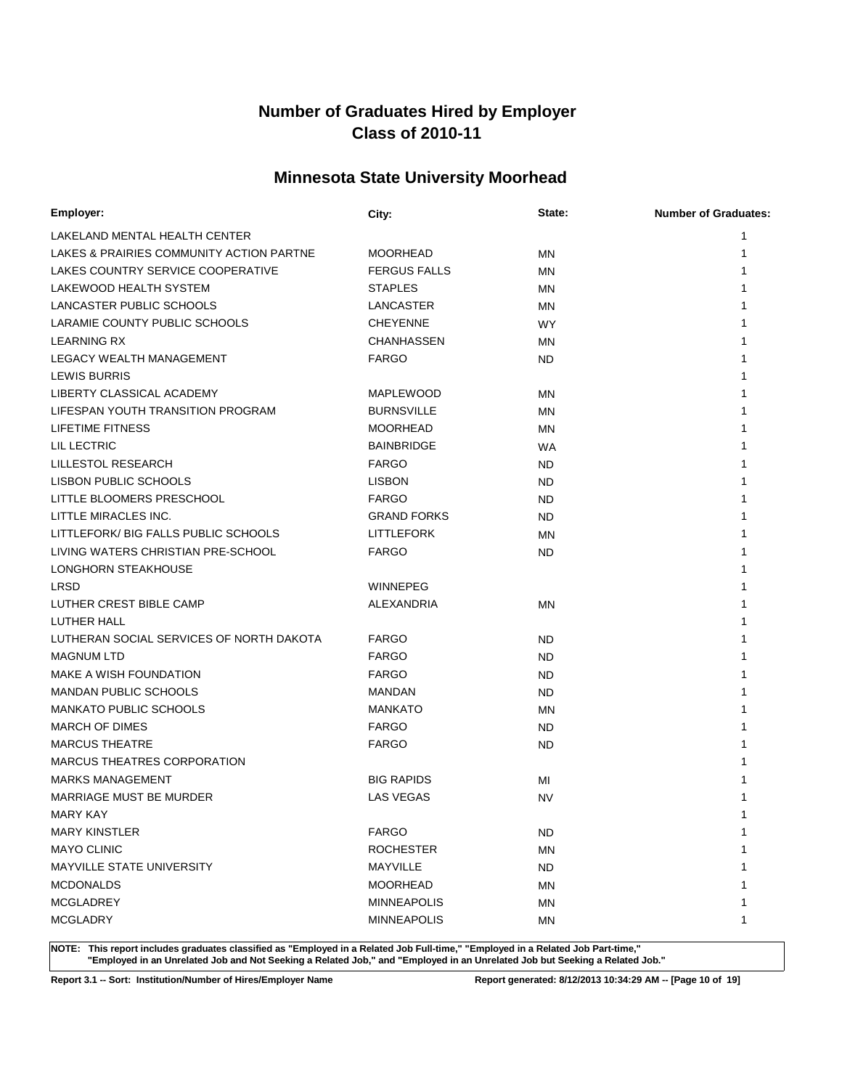# **Minnesota State University Moorhead**

| Employer:                                | City:               | State:    | <b>Number of Graduates:</b> |
|------------------------------------------|---------------------|-----------|-----------------------------|
| LAKELAND MENTAL HEALTH CENTER            |                     |           | 1                           |
| LAKES & PRAIRIES COMMUNITY ACTION PARTNE | <b>MOORHEAD</b>     | ΜN        | 1                           |
| LAKES COUNTRY SERVICE COOPERATIVE        | <b>FERGUS FALLS</b> | MN        | 1                           |
| LAKEWOOD HEALTH SYSTEM                   | <b>STAPLES</b>      | ΜN        |                             |
| LANCASTER PUBLIC SCHOOLS                 | LANCASTER           | ΜN        |                             |
| LARAMIE COUNTY PUBLIC SCHOOLS            | <b>CHEYENNE</b>     | <b>WY</b> |                             |
| <b>LEARNING RX</b>                       | CHANHASSEN          | MN        |                             |
| LEGACY WEALTH MANAGEMENT                 | <b>FARGO</b>        | ND.       |                             |
| <b>LEWIS BURRIS</b>                      |                     |           |                             |
| LIBERTY CLASSICAL ACADEMY                | <b>MAPLEWOOD</b>    | MN        |                             |
| LIFESPAN YOUTH TRANSITION PROGRAM        | <b>BURNSVILLE</b>   | <b>MN</b> |                             |
| LIFETIME FITNESS                         | <b>MOORHEAD</b>     | <b>MN</b> |                             |
| LIL LECTRIC                              | <b>BAINBRIDGE</b>   | <b>WA</b> |                             |
| LILLESTOL RESEARCH                       | <b>FARGO</b>        | <b>ND</b> |                             |
| LISBON PUBLIC SCHOOLS                    | <b>LISBON</b>       | <b>ND</b> |                             |
| LITTLE BLOOMERS PRESCHOOL                | <b>FARGO</b>        | <b>ND</b> |                             |
| LITTLE MIRACLES INC.                     | <b>GRAND FORKS</b>  | <b>ND</b> |                             |
| LITTLEFORK/ BIG FALLS PUBLIC SCHOOLS     | <b>LITTLEFORK</b>   | ΜN        |                             |
| LIVING WATERS CHRISTIAN PRE-SCHOOL       | <b>FARGO</b>        | ND.       |                             |
| <b>LONGHORN STEAKHOUSE</b>               |                     |           |                             |
| <b>LRSD</b>                              | <b>WINNEPEG</b>     |           |                             |
| LUTHER CREST BIBLE CAMP                  | ALEXANDRIA          | ΜN        |                             |
| LUTHER HALL                              |                     |           |                             |
| LUTHERAN SOCIAL SERVICES OF NORTH DAKOTA | <b>FARGO</b>        | ND.       |                             |
| <b>MAGNUM LTD</b>                        | <b>FARGO</b>        | ND.       |                             |
| MAKE A WISH FOUNDATION                   | <b>FARGO</b>        | <b>ND</b> |                             |
| <b>MANDAN PUBLIC SCHOOLS</b>             | <b>MANDAN</b>       | ND.       |                             |
| <b>MANKATO PUBLIC SCHOOLS</b>            | <b>MANKATO</b>      | ΜN        |                             |
| <b>MARCH OF DIMES</b>                    | <b>FARGO</b>        | ND.       |                             |
| <b>MARCUS THEATRE</b>                    | <b>FARGO</b>        | <b>ND</b> |                             |
| <b>MARCUS THEATRES CORPORATION</b>       |                     |           |                             |
| <b>MARKS MANAGEMENT</b>                  | <b>BIG RAPIDS</b>   | MI        |                             |
| MARRIAGE MUST BE MURDER                  | <b>LAS VEGAS</b>    | <b>NV</b> |                             |
| MARY KAY                                 |                     |           | 1                           |
| <b>MARY KINSTLER</b>                     | <b>FARGO</b>        | <b>ND</b> | 1                           |
| <b>MAYO CLINIC</b>                       | <b>ROCHESTER</b>    | ΜN        |                             |
| MAYVILLE STATE UNIVERSITY                | MAYVILLE            | <b>ND</b> |                             |
| <b>MCDONALDS</b>                         | <b>MOORHEAD</b>     | ΜN        |                             |
| <b>MCGLADREY</b>                         | <b>MINNEAPOLIS</b>  | MN        |                             |
| <b>MCGLADRY</b>                          | <b>MINNEAPOLIS</b>  | ΜN        | 1                           |

**NOTE: This report includes graduates classified as "Employed in a Related Job Full-time," "Employed in a Related Job Part-time," "Employed in an Unrelated Job and Not Seeking a Related Job," and "Employed in an Unrelated Job but Seeking a Related Job."**

**Report 3.1 -- Sort: Institution/Number of Hires/Employer Name Report generated: 8/12/2013 10:34:29 AM -- [Page 10 of 19]**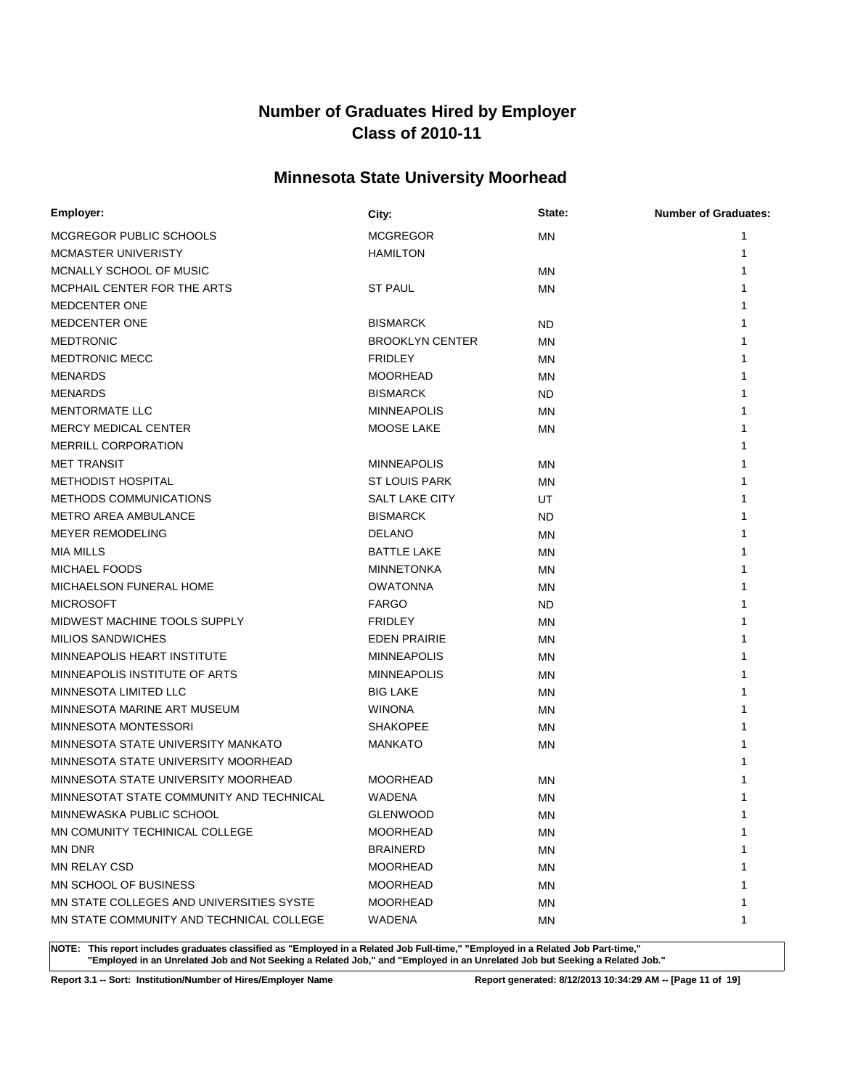# **Minnesota State University Moorhead**

| Employer:                                | City:                  | State:    | <b>Number of Graduates:</b> |
|------------------------------------------|------------------------|-----------|-----------------------------|
| MCGREGOR PUBLIC SCHOOLS                  | <b>MCGREGOR</b>        | <b>MN</b> | 1                           |
| MCMASTER UNIVERISTY                      | <b>HAMILTON</b>        |           | 1                           |
| MCNALLY SCHOOL OF MUSIC                  |                        | MN        | 1                           |
| MCPHAIL CENTER FOR THE ARTS              | <b>ST PAUL</b>         | ΜN        |                             |
| MEDCENTER ONE                            |                        |           |                             |
| MEDCENTER ONE                            | <b>BISMARCK</b>        | ND.       |                             |
| <b>MEDTRONIC</b>                         | <b>BROOKLYN CENTER</b> | ΜN        |                             |
| <b>MEDTRONIC MECC</b>                    | <b>FRIDLEY</b>         | ΜN        |                             |
| <b>MENARDS</b>                           | <b>MOORHEAD</b>        | ΜN        |                             |
| <b>MENARDS</b>                           | <b>BISMARCK</b>        | ND        |                             |
| <b>MENTORMATE LLC</b>                    | <b>MINNEAPOLIS</b>     | ΜN        |                             |
| <b>MERCY MEDICAL CENTER</b>              | MOOSE LAKE             | ΜN        |                             |
| <b>MERRILL CORPORATION</b>               |                        |           |                             |
| <b>MET TRANSIT</b>                       | <b>MINNEAPOLIS</b>     | ΜN        |                             |
| <b>METHODIST HOSPITAL</b>                | <b>ST LOUIS PARK</b>   | MN        |                             |
| METHODS COMMUNICATIONS                   | <b>SALT LAKE CITY</b>  | UT        |                             |
| <b>METRO AREA AMBULANCE</b>              | <b>BISMARCK</b>        | <b>ND</b> |                             |
| <b>MEYER REMODELING</b>                  | <b>DELANO</b>          | MN        |                             |
| <b>MIA MILLS</b>                         | <b>BATTLE LAKE</b>     | <b>MN</b> |                             |
| <b>MICHAEL FOODS</b>                     | <b>MINNETONKA</b>      | MN        |                             |
| MICHAELSON FUNERAL HOME                  | <b>OWATONNA</b>        | <b>MN</b> |                             |
| <b>MICROSOFT</b>                         | <b>FARGO</b>           | ND.       |                             |
| MIDWEST MACHINE TOOLS SUPPLY             | <b>FRIDLEY</b>         | MN        |                             |
| <b>MILIOS SANDWICHES</b>                 | <b>EDEN PRAIRIE</b>    | MN        |                             |
| MINNEAPOLIS HEART INSTITUTE              | <b>MINNEAPOLIS</b>     | <b>MN</b> |                             |
| MINNEAPOLIS INSTITUTE OF ARTS            | <b>MINNEAPOLIS</b>     | <b>MN</b> |                             |
| MINNESOTA LIMITED LLC                    | <b>BIG LAKE</b>        | ΜN        |                             |
| MINNESOTA MARINE ART MUSEUM              | <b>WINONA</b>          | MN        |                             |
| MINNESOTA MONTESSORI                     | <b>SHAKOPEE</b>        | MN        |                             |
| MINNESOTA STATE UNIVERSITY MANKATO       | <b>MANKATO</b>         | MN        |                             |
| MINNESOTA STATE UNIVERSITY MOORHEAD      |                        |           |                             |
| MINNESOTA STATE UNIVERSITY MOORHEAD      | <b>MOORHEAD</b>        | <b>MN</b> |                             |
| MINNESOTAT STATE COMMUNITY AND TECHNICAL | WADENA                 | MN        |                             |
| MINNEWASKA PUBLIC SCHOOL                 | <b>GLENWOOD</b>        | MN        | 1                           |
| MN COMUNITY TECHINICAL COLLEGE           | <b>MOORHEAD</b>        | ΜN        | 1                           |
| MN DNR                                   | BRAINERD               | <b>MN</b> |                             |
| MN RELAY CSD                             | <b>MOORHEAD</b>        | ΜN        |                             |
| MN SCHOOL OF BUSINESS                    | <b>MOORHEAD</b>        | ΜN        |                             |
| MN STATE COLLEGES AND UNIVERSITIES SYSTE | <b>MOORHEAD</b>        | ΜN        |                             |
| MN STATE COMMUNITY AND TECHNICAL COLLEGE | WADENA                 | MN        | 1                           |

**NOTE: This report includes graduates classified as "Employed in a Related Job Full-time," "Employed in a Related Job Part-time," "Employed in an Unrelated Job and Not Seeking a Related Job," and "Employed in an Unrelated Job but Seeking a Related Job."**

**Report 3.1 -- Sort: Institution/Number of Hires/Employer Name Report generated: 8/12/2013 10:34:29 AM -- [Page 11 of 19]**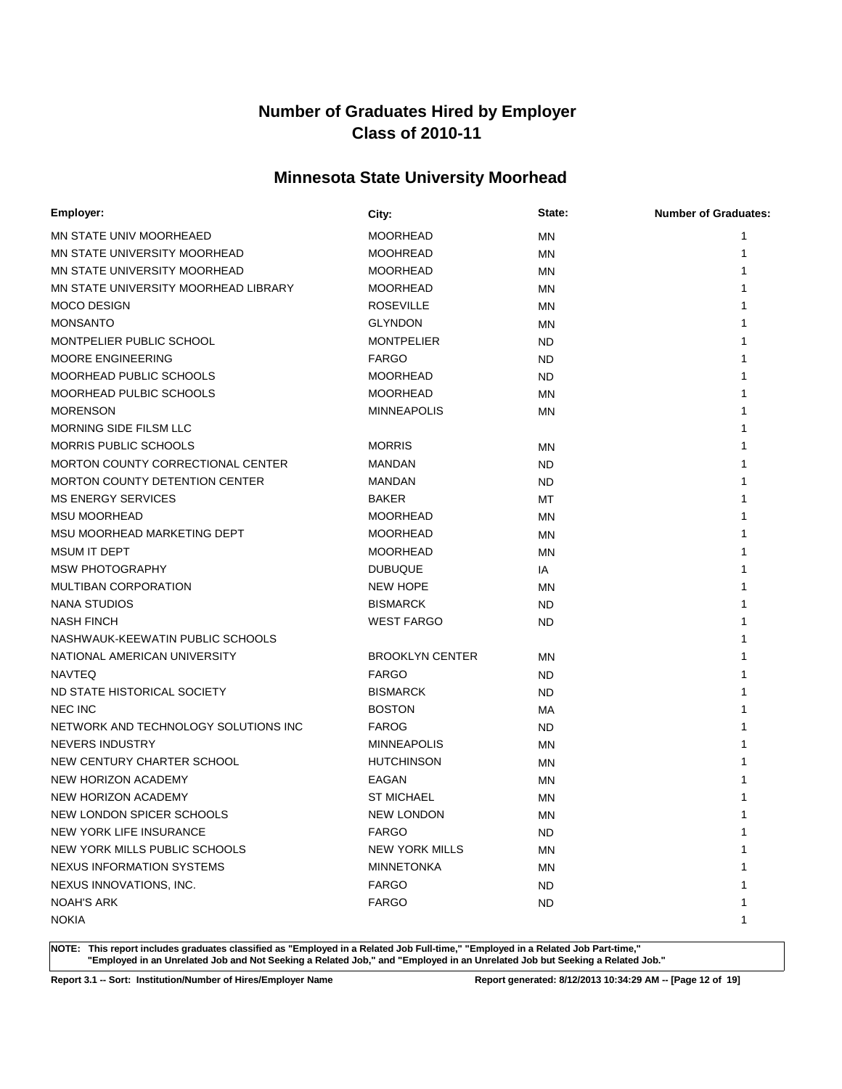# **Minnesota State University Moorhead**

| Employer:                             | City:                  | State:    | <b>Number of Graduates:</b> |
|---------------------------------------|------------------------|-----------|-----------------------------|
| MN STATE UNIV MOORHEAED               | <b>MOORHEAD</b>        | <b>MN</b> | 1                           |
| MN STATE UNIVERSITY MOORHEAD          | <b>MOOHREAD</b>        | MN        |                             |
| MN STATE UNIVERSITY MOORHEAD          | <b>MOORHEAD</b>        | MN        |                             |
| MN STATE UNIVERSITY MOORHEAD LIBRARY  | <b>MOORHEAD</b>        | MN        |                             |
| <b>MOCO DESIGN</b>                    | <b>ROSEVILLE</b>       | MN        |                             |
| <b>MONSANTO</b>                       | <b>GLYNDON</b>         | MN        |                             |
| MONTPELIER PUBLIC SCHOOL              | <b>MONTPELIER</b>      | ND        |                             |
| <b>MOORE ENGINEERING</b>              | <b>FARGO</b>           | <b>ND</b> |                             |
| MOORHEAD PUBLIC SCHOOLS               | <b>MOORHEAD</b>        | <b>ND</b> |                             |
| <b>MOORHEAD PULBIC SCHOOLS</b>        | <b>MOORHEAD</b>        | MN        |                             |
| <b>MORENSON</b>                       | <b>MINNEAPOLIS</b>     | <b>MN</b> |                             |
| MORNING SIDE FILSM LLC                |                        |           |                             |
| <b>MORRIS PUBLIC SCHOOLS</b>          | <b>MORRIS</b>          | <b>MN</b> |                             |
| MORTON COUNTY CORRECTIONAL CENTER     | MANDAN                 | ND        |                             |
| <b>MORTON COUNTY DETENTION CENTER</b> | MANDAN                 | <b>ND</b> |                             |
| <b>MS ENERGY SERVICES</b>             | <b>BAKER</b>           | MT        |                             |
| <b>MSU MOORHEAD</b>                   | <b>MOORHEAD</b>        | <b>MN</b> |                             |
| MSU MOORHEAD MARKETING DEPT           | <b>MOORHEAD</b>        | MN        |                             |
| <b>MSUM IT DEPT</b>                   | <b>MOORHEAD</b>        | <b>MN</b> |                             |
| <b>MSW PHOTOGRAPHY</b>                | <b>DUBUQUE</b>         | IA        |                             |
| <b>MULTIBAN CORPORATION</b>           | <b>NEW HOPE</b>        | <b>MN</b> |                             |
| <b>NANA STUDIOS</b>                   | <b>BISMARCK</b>        | <b>ND</b> |                             |
| <b>NASH FINCH</b>                     | <b>WEST FARGO</b>      | ND.       |                             |
| NASHWAUK-KEEWATIN PUBLIC SCHOOLS      |                        |           |                             |
| NATIONAL AMERICAN UNIVERSITY          | <b>BROOKLYN CENTER</b> | <b>MN</b> |                             |
| <b>NAVTEQ</b>                         | <b>FARGO</b>           | <b>ND</b> |                             |
| ND STATE HISTORICAL SOCIETY           | <b>BISMARCK</b>        | <b>ND</b> |                             |
| <b>NEC INC</b>                        | <b>BOSTON</b>          | МA        |                             |
| NETWORK AND TECHNOLOGY SOLUTIONS INC  | <b>FAROG</b>           | <b>ND</b> |                             |
| NEVERS INDUSTRY                       | <b>MINNEAPOLIS</b>     | MN        |                             |
| NEW CENTURY CHARTER SCHOOL            | <b>HUTCHINSON</b>      | MN        |                             |
| NEW HORIZON ACADEMY                   | EAGAN                  | MN        |                             |
| NEW HORIZON ACADEMY                   | ST MICHAEL             | MN        |                             |
| NEW LONDON SPICER SCHOOLS             | <b>NEW LONDON</b>      | MN        |                             |
| NEW YORK LIFE INSURANCE               | <b>FARGO</b>           | <b>ND</b> | 1                           |
| NEW YORK MILLS PUBLIC SCHOOLS         | <b>NEW YORK MILLS</b>  | MN        |                             |
| <b>NEXUS INFORMATION SYSTEMS</b>      | <b>MINNETONKA</b>      | ΜN        |                             |
| NEXUS INNOVATIONS, INC.               | <b>FARGO</b>           | <b>ND</b> |                             |
| <b>NOAH'S ARK</b>                     | <b>FARGO</b>           | <b>ND</b> |                             |
| <b>NOKIA</b>                          |                        |           | 1                           |

**NOTE: This report includes graduates classified as "Employed in a Related Job Full-time," "Employed in a Related Job Part-time," "Employed in an Unrelated Job and Not Seeking a Related Job," and "Employed in an Unrelated Job but Seeking a Related Job."**

**Report 3.1 -- Sort: Institution/Number of Hires/Employer Name Report generated: 8/12/2013 10:34:29 AM -- [Page 12 of 19]**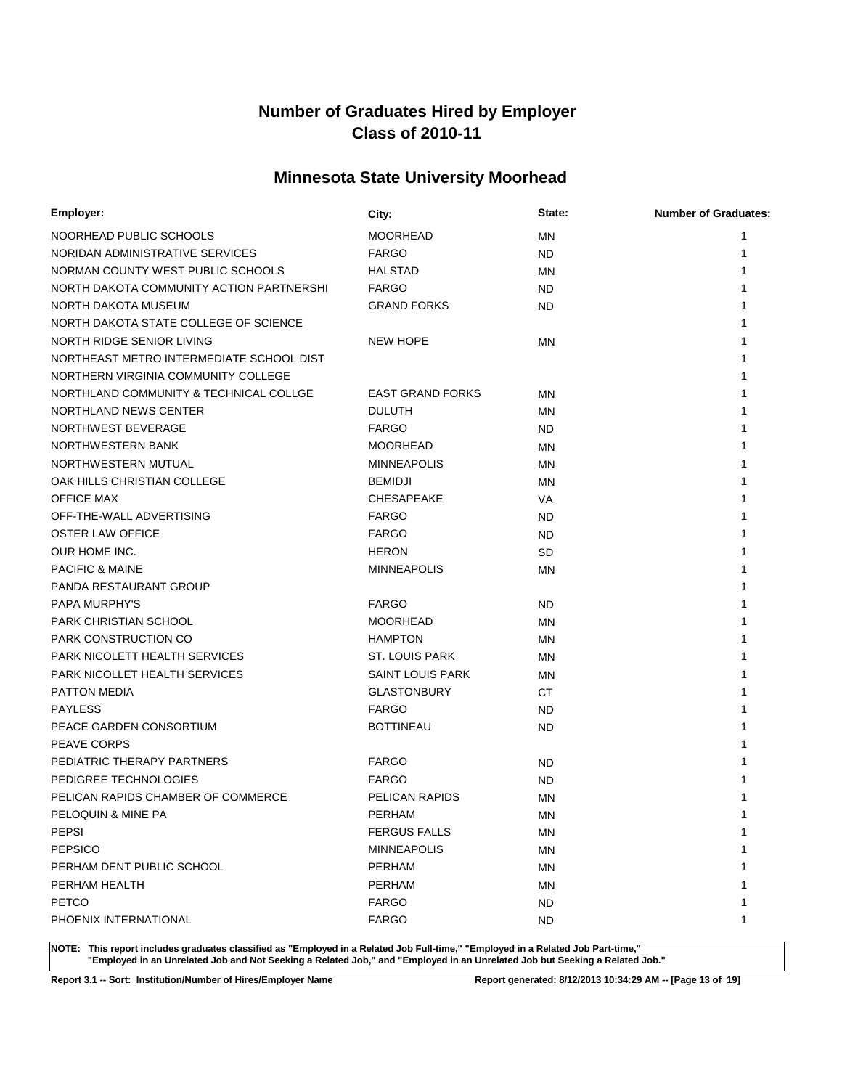# **Minnesota State University Moorhead**

| Employer:                                | City:                   | State:    | <b>Number of Graduates:</b> |
|------------------------------------------|-------------------------|-----------|-----------------------------|
| NOORHEAD PUBLIC SCHOOLS                  | <b>MOORHEAD</b>         | ΜN        | 1                           |
| NORIDAN ADMINISTRATIVE SERVICES          | <b>FARGO</b>            | ND        | 1                           |
| NORMAN COUNTY WEST PUBLIC SCHOOLS        | <b>HALSTAD</b>          | ΜN        |                             |
| NORTH DAKOTA COMMUNITY ACTION PARTNERSHI | <b>FARGO</b>            | ND        |                             |
| NORTH DAKOTA MUSEUM                      | <b>GRAND FORKS</b>      | <b>ND</b> |                             |
| NORTH DAKOTA STATE COLLEGE OF SCIENCE    |                         |           |                             |
| NORTH RIDGE SENIOR LIVING                | <b>NEW HOPE</b>         | ΜN        |                             |
| NORTHEAST METRO INTERMEDIATE SCHOOL DIST |                         |           |                             |
| NORTHERN VIRGINIA COMMUNITY COLLEGE      |                         |           |                             |
| NORTHLAND COMMUNITY & TECHNICAL COLLGE   | <b>EAST GRAND FORKS</b> | <b>MN</b> |                             |
| NORTHLAND NEWS CENTER                    | <b>DULUTH</b>           | <b>MN</b> |                             |
| NORTHWEST BEVERAGE                       | <b>FARGO</b>            | ND.       |                             |
| NORTHWESTERN BANK                        | <b>MOORHEAD</b>         | ΜN        |                             |
| NORTHWESTERN MUTUAL                      | <b>MINNEAPOLIS</b>      | <b>MN</b> |                             |
| OAK HILLS CHRISTIAN COLLEGE              | <b>BEMIDJI</b>          | ΜN        |                             |
| <b>OFFICE MAX</b>                        | <b>CHESAPEAKE</b>       | VA        |                             |
| OFF-THE-WALL ADVERTISING                 | <b>FARGO</b>            | <b>ND</b> |                             |
| <b>OSTER LAW OFFICE</b>                  | <b>FARGO</b>            | <b>ND</b> |                             |
| OUR HOME INC.                            | <b>HERON</b>            | <b>SD</b> |                             |
| <b>PACIFIC &amp; MAINE</b>               | <b>MINNEAPOLIS</b>      | <b>MN</b> |                             |
| PANDA RESTAURANT GROUP                   |                         |           |                             |
| PAPA MURPHY'S                            | <b>FARGO</b>            | <b>ND</b> |                             |
| PARK CHRISTIAN SCHOOL                    | <b>MOORHEAD</b>         | ΜN        |                             |
| PARK CONSTRUCTION CO                     | <b>HAMPTON</b>          | <b>MN</b> |                             |
| PARK NICOLETT HEALTH SERVICES            | <b>ST. LOUIS PARK</b>   | <b>MN</b> |                             |
| PARK NICOLLET HEALTH SERVICES            | <b>SAINT LOUIS PARK</b> | <b>MN</b> |                             |
| <b>PATTON MEDIA</b>                      | <b>GLASTONBURY</b>      | <b>CT</b> |                             |
| <b>PAYLESS</b>                           | <b>FARGO</b>            | <b>ND</b> |                             |
| PEACE GARDEN CONSORTIUM                  | <b>BOTTINEAU</b>        | <b>ND</b> |                             |
| PEAVE CORPS                              |                         |           |                             |
| PEDIATRIC THERAPY PARTNERS               | <b>FARGO</b>            | ND        |                             |
| PEDIGREE TECHNOLOGIES                    | <b>FARGO</b>            | <b>ND</b> |                             |
| PELICAN RAPIDS CHAMBER OF COMMERCE       | PELICAN RAPIDS          | MN        |                             |
| PELOQUIN & MINE PA                       | PERHAM                  | <b>MN</b> |                             |
| PEPSI                                    | <b>FERGUS FALLS</b>     | ΜN        | 1                           |
| <b>PEPSICO</b>                           | <b>MINNEAPOLIS</b>      | <b>MN</b> |                             |
| PERHAM DENT PUBLIC SCHOOL                | <b>PERHAM</b>           | ΜN        |                             |
| PERHAM HEALTH                            | <b>PERHAM</b>           | MN        |                             |
| <b>PETCO</b>                             | <b>FARGO</b>            | ND.       |                             |
| PHOENIX INTERNATIONAL                    | <b>FARGO</b>            | <b>ND</b> | 1                           |

**NOTE: This report includes graduates classified as "Employed in a Related Job Full-time," "Employed in a Related Job Part-time," "Employed in an Unrelated Job and Not Seeking a Related Job," and "Employed in an Unrelated Job but Seeking a Related Job."**

**Report 3.1 -- Sort: Institution/Number of Hires/Employer Name Report generated: 8/12/2013 10:34:29 AM -- [Page 13 of 19]**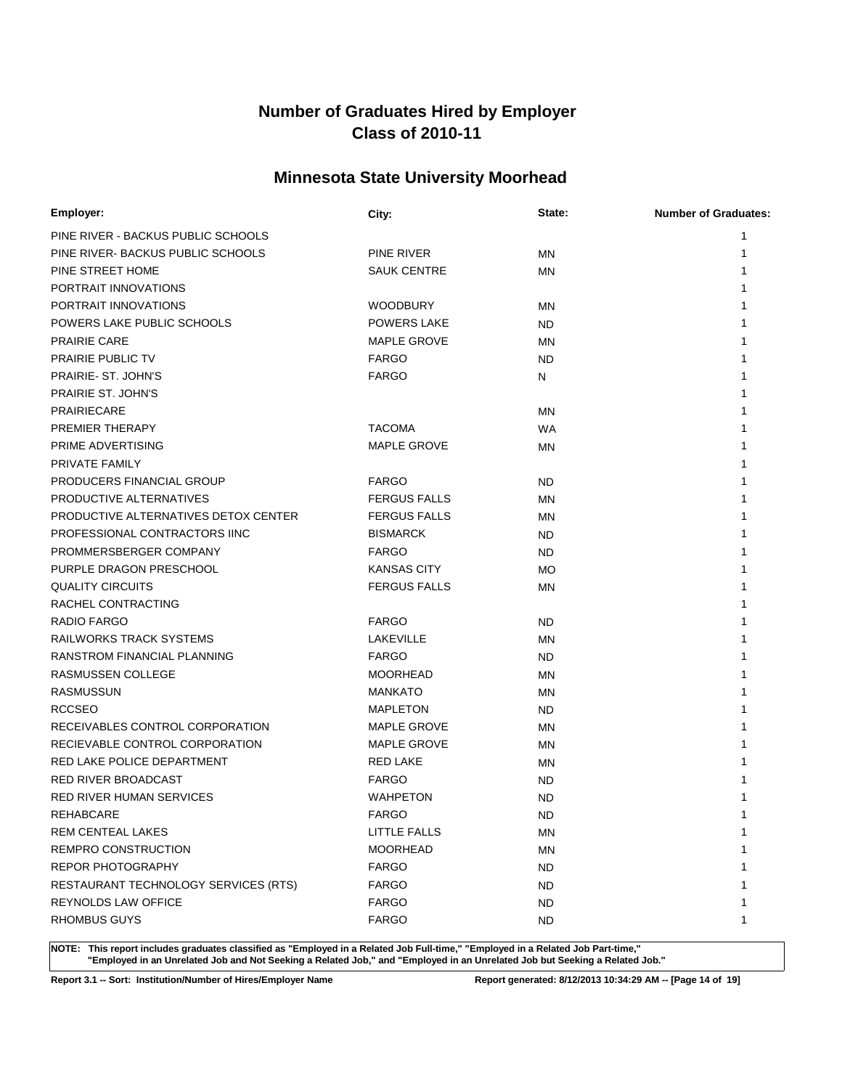# **Minnesota State University Moorhead**

| Employer:                            | City:               | State:    | <b>Number of Graduates:</b> |
|--------------------------------------|---------------------|-----------|-----------------------------|
| PINE RIVER - BACKUS PUBLIC SCHOOLS   |                     |           | 1                           |
| PINE RIVER- BACKUS PUBLIC SCHOOLS    | PINE RIVER          | MN        |                             |
| PINE STREET HOME                     | <b>SAUK CENTRE</b>  | <b>MN</b> |                             |
| PORTRAIT INNOVATIONS                 |                     |           |                             |
| PORTRAIT INNOVATIONS                 | <b>WOODBURY</b>     | <b>MN</b> |                             |
| POWERS LAKE PUBLIC SCHOOLS           | <b>POWERS LAKE</b>  | ND        |                             |
| <b>PRAIRIE CARE</b>                  | MAPLE GROVE         | <b>MN</b> |                             |
| PRAIRIE PUBLIC TV                    | <b>FARGO</b>        | <b>ND</b> |                             |
| PRAIRIE- ST. JOHN'S                  | <b>FARGO</b>        | N         |                             |
| <b>PRAIRIE ST. JOHN'S</b>            |                     |           |                             |
| <b>PRAIRIECARE</b>                   |                     | <b>MN</b> |                             |
| PREMIER THERAPY                      | <b>TACOMA</b>       | <b>WA</b> |                             |
| PRIME ADVERTISING                    | MAPLE GROVE         | <b>MN</b> |                             |
| PRIVATE FAMILY                       |                     |           |                             |
| PRODUCERS FINANCIAL GROUP            | <b>FARGO</b>        | ND        |                             |
| PRODUCTIVE ALTERNATIVES              | <b>FERGUS FALLS</b> | MN        |                             |
| PRODUCTIVE ALTERNATIVES DETOX CENTER | <b>FERGUS FALLS</b> | MN        |                             |
| PROFESSIONAL CONTRACTORS IINC        | <b>BISMARCK</b>     | ND        |                             |
| PROMMERSBERGER COMPANY               | <b>FARGO</b>        | ND        |                             |
| PURPLE DRAGON PRESCHOOL              | <b>KANSAS CITY</b>  | MO        |                             |
| <b>QUALITY CIRCUITS</b>              | <b>FERGUS FALLS</b> | MN        |                             |
| RACHEL CONTRACTING                   |                     |           |                             |
| RADIO FARGO                          | <b>FARGO</b>        | ND        |                             |
| RAILWORKS TRACK SYSTEMS              | LAKEVILLE           | MN        |                             |
| RANSTROM FINANCIAL PLANNING          | <b>FARGO</b>        | <b>ND</b> |                             |
| RASMUSSEN COLLEGE                    | <b>MOORHEAD</b>     | MN        |                             |
| <b>RASMUSSUN</b>                     | <b>MANKATO</b>      | <b>MN</b> |                             |
| <b>RCCSEO</b>                        | <b>MAPLETON</b>     | ND        |                             |
| RECEIVABLES CONTROL CORPORATION      | MAPLE GROVE         | <b>MN</b> |                             |
| RECIEVABLE CONTROL CORPORATION       | MAPLE GROVE         | ΜN        |                             |
| RED LAKE POLICE DEPARTMENT           | <b>RED LAKE</b>     | <b>MN</b> |                             |
| <b>RED RIVER BROADCAST</b>           | <b>FARGO</b>        | ND        |                             |
| <b>RED RIVER HUMAN SERVICES</b>      | <b>WAHPETON</b>     | <b>ND</b> |                             |
| REHABCARE                            | <b>FARGO</b>        | <b>ND</b> |                             |
| REM CENTEAL LAKES                    | LITTLE FALLS        | ΜN        | 1                           |
| REMPRO CONSTRUCTION                  | <b>MOORHEAD</b>     | <b>MN</b> |                             |
| REPOR PHOTOGRAPHY                    | <b>FARGO</b>        | <b>ND</b> |                             |
| RESTAURANT TECHNOLOGY SERVICES (RTS) | <b>FARGO</b>        | ND.       |                             |
| REYNOLDS LAW OFFICE                  | <b>FARGO</b>        | <b>ND</b> |                             |
| <b>RHOMBUS GUYS</b>                  | <b>FARGO</b>        | <b>ND</b> | 1                           |

**NOTE: This report includes graduates classified as "Employed in a Related Job Full-time," "Employed in a Related Job Part-time," "Employed in an Unrelated Job and Not Seeking a Related Job," and "Employed in an Unrelated Job but Seeking a Related Job."**

**Report 3.1 -- Sort: Institution/Number of Hires/Employer Name Report generated: 8/12/2013 10:34:29 AM -- [Page 14 of 19]**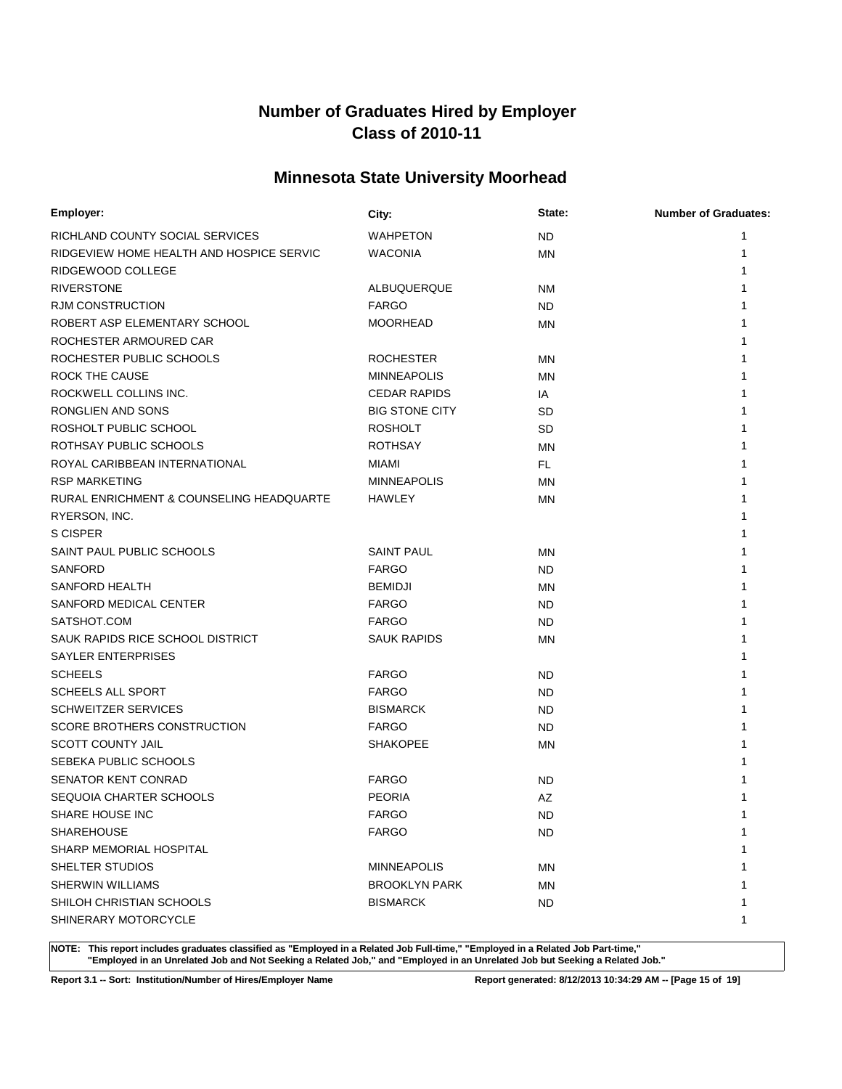# **Minnesota State University Moorhead**

| Employer:                                | City:                 | State:    | <b>Number of Graduates:</b> |
|------------------------------------------|-----------------------|-----------|-----------------------------|
| RICHLAND COUNTY SOCIAL SERVICES          | <b>WAHPETON</b>       | <b>ND</b> | 1                           |
| RIDGEVIEW HOME HEALTH AND HOSPICE SERVIC | <b>WACONIA</b>        | MN        | 1                           |
| RIDGEWOOD COLLEGE                        |                       |           |                             |
| <b>RIVERSTONE</b>                        | ALBUQUERQUE           | <b>NM</b> |                             |
| <b>RJM CONSTRUCTION</b>                  | <b>FARGO</b>          | <b>ND</b> |                             |
| ROBERT ASP ELEMENTARY SCHOOL             | <b>MOORHEAD</b>       | MN        |                             |
| ROCHESTER ARMOURED CAR                   |                       |           |                             |
| ROCHESTER PUBLIC SCHOOLS                 | <b>ROCHESTER</b>      | <b>MN</b> |                             |
| ROCK THE CAUSE                           | <b>MINNEAPOLIS</b>    | <b>MN</b> |                             |
| ROCKWELL COLLINS INC.                    | <b>CEDAR RAPIDS</b>   | IA        |                             |
| RONGLIEN AND SONS                        | <b>BIG STONE CITY</b> | <b>SD</b> |                             |
| ROSHOLT PUBLIC SCHOOL                    | <b>ROSHOLT</b>        | <b>SD</b> |                             |
| ROTHSAY PUBLIC SCHOOLS                   | <b>ROTHSAY</b>        | <b>MN</b> |                             |
| ROYAL CARIBBEAN INTERNATIONAL            | <b>MIAMI</b>          | FL.       |                             |
| <b>RSP MARKETING</b>                     | <b>MINNEAPOLIS</b>    | <b>MN</b> |                             |
| RURAL ENRICHMENT & COUNSELING HEADQUARTE | HAWLEY                | <b>MN</b> |                             |
| RYERSON, INC.                            |                       |           |                             |
| S CISPER                                 |                       |           |                             |
| SAINT PAUL PUBLIC SCHOOLS                | <b>SAINT PAUL</b>     | <b>MN</b> |                             |
| <b>SANFORD</b>                           | <b>FARGO</b>          | <b>ND</b> |                             |
| SANFORD HEALTH                           | <b>BEMIDJI</b>        | <b>MN</b> |                             |
| SANFORD MEDICAL CENTER                   | <b>FARGO</b>          | <b>ND</b> |                             |
| SATSHOT.COM                              | <b>FARGO</b>          | ND.       |                             |
| SAUK RAPIDS RICE SCHOOL DISTRICT         | <b>SAUK RAPIDS</b>    | <b>MN</b> |                             |
| SAYLER ENTERPRISES                       |                       |           |                             |
| <b>SCHEELS</b>                           | <b>FARGO</b>          | ND        |                             |
| <b>SCHEELS ALL SPORT</b>                 | <b>FARGO</b>          | ND.       |                             |
| <b>SCHWEITZER SERVICES</b>               | <b>BISMARCK</b>       | ND        |                             |
| SCORE BROTHERS CONSTRUCTION              | <b>FARGO</b>          | ND        |                             |
| <b>SCOTT COUNTY JAIL</b>                 | <b>SHAKOPEE</b>       | <b>MN</b> |                             |
| SEBEKA PUBLIC SCHOOLS                    |                       |           |                             |
| <b>SENATOR KENT CONRAD</b>               | <b>FARGO</b>          | ND        |                             |
| SEQUOIA CHARTER SCHOOLS                  | <b>PEORIA</b>         | AZ        |                             |
| SHARE HOUSE INC                          | <b>FARGO</b>          | <b>ND</b> | 1                           |
| <b>SHAREHOUSE</b>                        | <b>FARGO</b>          | ND.       | 1                           |
| SHARP MEMORIAL HOSPITAL                  |                       |           |                             |
| SHELTER STUDIOS                          | <b>MINNEAPOLIS</b>    | ΜN        |                             |
| <b>SHERWIN WILLIAMS</b>                  | <b>BROOKLYN PARK</b>  | ΜN        |                             |
| SHILOH CHRISTIAN SCHOOLS                 | <b>BISMARCK</b>       | ND.       |                             |
| SHINERARY MOTORCYCLE                     |                       |           | 1                           |

**NOTE: This report includes graduates classified as "Employed in a Related Job Full-time," "Employed in a Related Job Part-time," "Employed in an Unrelated Job and Not Seeking a Related Job," and "Employed in an Unrelated Job but Seeking a Related Job."**

**Report 3.1 -- Sort: Institution/Number of Hires/Employer Name Report generated: 8/12/2013 10:34:29 AM -- [Page 15 of 19]**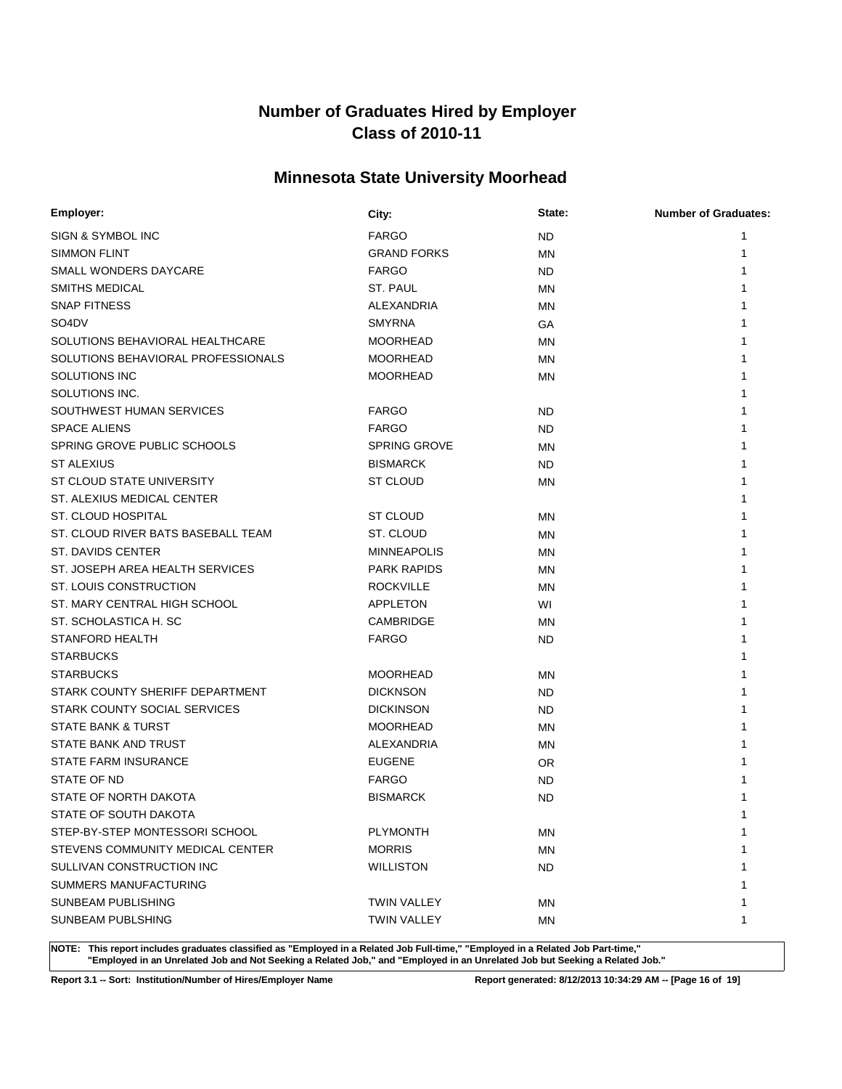# **Minnesota State University Moorhead**

| Employer:                          | City:               | State:    | <b>Number of Graduates:</b> |
|------------------------------------|---------------------|-----------|-----------------------------|
| SIGN & SYMBOL INC                  | <b>FARGO</b>        | ND.       |                             |
| <b>SIMMON FLINT</b>                | <b>GRAND FORKS</b>  | MN        | 1                           |
| SMALL WONDERS DAYCARE              | <b>FARGO</b>        | ND.       | 1                           |
| <b>SMITHS MEDICAL</b>              | ST. PAUL            | ΜN        |                             |
| <b>SNAP FITNESS</b>                | ALEXANDRIA          | MN        |                             |
| SO <sub>4</sub> D <sub>V</sub>     | <b>SMYRNA</b>       | GA        |                             |
| SOLUTIONS BEHAVIORAL HEALTHCARE    | <b>MOORHEAD</b>     | ΜN        |                             |
| SOLUTIONS BEHAVIORAL PROFESSIONALS | <b>MOORHEAD</b>     | ΜN        |                             |
| SOLUTIONS INC                      | <b>MOORHEAD</b>     | <b>MN</b> |                             |
| SOLUTIONS INC.                     |                     |           |                             |
| SOUTHWEST HUMAN SERVICES           | <b>FARGO</b>        | <b>ND</b> |                             |
| <b>SPACE ALIENS</b>                | <b>FARGO</b>        | ND.       |                             |
| SPRING GROVE PUBLIC SCHOOLS        | <b>SPRING GROVE</b> | <b>MN</b> |                             |
| <b>ST ALEXIUS</b>                  | <b>BISMARCK</b>     | ND.       |                             |
| ST CLOUD STATE UNIVERSITY          | ST CLOUD            | MN        |                             |
| ST. ALEXIUS MEDICAL CENTER         |                     |           |                             |
| ST. CLOUD HOSPITAL                 | ST CLOUD            | <b>MN</b> |                             |
| ST. CLOUD RIVER BATS BASEBALL TEAM | ST. CLOUD           | ΜN        |                             |
| ST. DAVIDS CENTER                  | <b>MINNEAPOLIS</b>  | <b>MN</b> |                             |
| ST. JOSEPH AREA HEALTH SERVICES    | <b>PARK RAPIDS</b>  | ΜN        |                             |
| <b>ST. LOUIS CONSTRUCTION</b>      | <b>ROCKVILLE</b>    | MN        |                             |
| ST. MARY CENTRAL HIGH SCHOOL       | <b>APPLETON</b>     | WI        |                             |
| ST. SCHOLASTICA H. SC              | CAMBRIDGE           | <b>MN</b> |                             |
| <b>STANFORD HEALTH</b>             | <b>FARGO</b>        | ND.       |                             |
| <b>STARBUCKS</b>                   |                     |           |                             |
| <b>STARBUCKS</b>                   | <b>MOORHEAD</b>     | ΜN        |                             |
| STARK COUNTY SHERIFF DEPARTMENT    | <b>DICKNSON</b>     | ND.       |                             |
| STARK COUNTY SOCIAL SERVICES       | <b>DICKINSON</b>    | ND.       |                             |
| <b>STATE BANK &amp; TURST</b>      | <b>MOORHEAD</b>     | <b>MN</b> |                             |
| STATE BANK AND TRUST               | ALEXANDRIA          | ΜN        |                             |
| <b>STATE FARM INSURANCE</b>        | <b>EUGENE</b>       | OR.       |                             |
| STATE OF ND                        | <b>FARGO</b>        | ND.       |                             |
| STATE OF NORTH DAKOTA              | <b>BISMARCK</b>     | <b>ND</b> |                             |
| STATE OF SOUTH DAKOTA              |                     |           | 1                           |
| STEP-BY-STEP MONTESSORI SCHOOL     | <b>PLYMONTH</b>     | MN        | 1                           |
| STEVENS COMMUNITY MEDICAL CENTER   | <b>MORRIS</b>       | ΜN        |                             |
| SULLIVAN CONSTRUCTION INC          | <b>WILLISTON</b>    | ND.       |                             |
| SUMMERS MANUFACTURING              |                     |           |                             |
| <b>SUNBEAM PUBLISHING</b>          | <b>TWIN VALLEY</b>  | ΜN        | 1                           |
| <b>SUNBEAM PUBLSHING</b>           | <b>TWIN VALLEY</b>  | ΜN        | 1                           |
|                                    |                     |           |                             |

**NOTE: This report includes graduates classified as "Employed in a Related Job Full-time," "Employed in a Related Job Part-time," "Employed in an Unrelated Job and Not Seeking a Related Job," and "Employed in an Unrelated Job but Seeking a Related Job."**

**Report 3.1 -- Sort: Institution/Number of Hires/Employer Name Report generated: 8/12/2013 10:34:29 AM -- [Page 16 of 19]**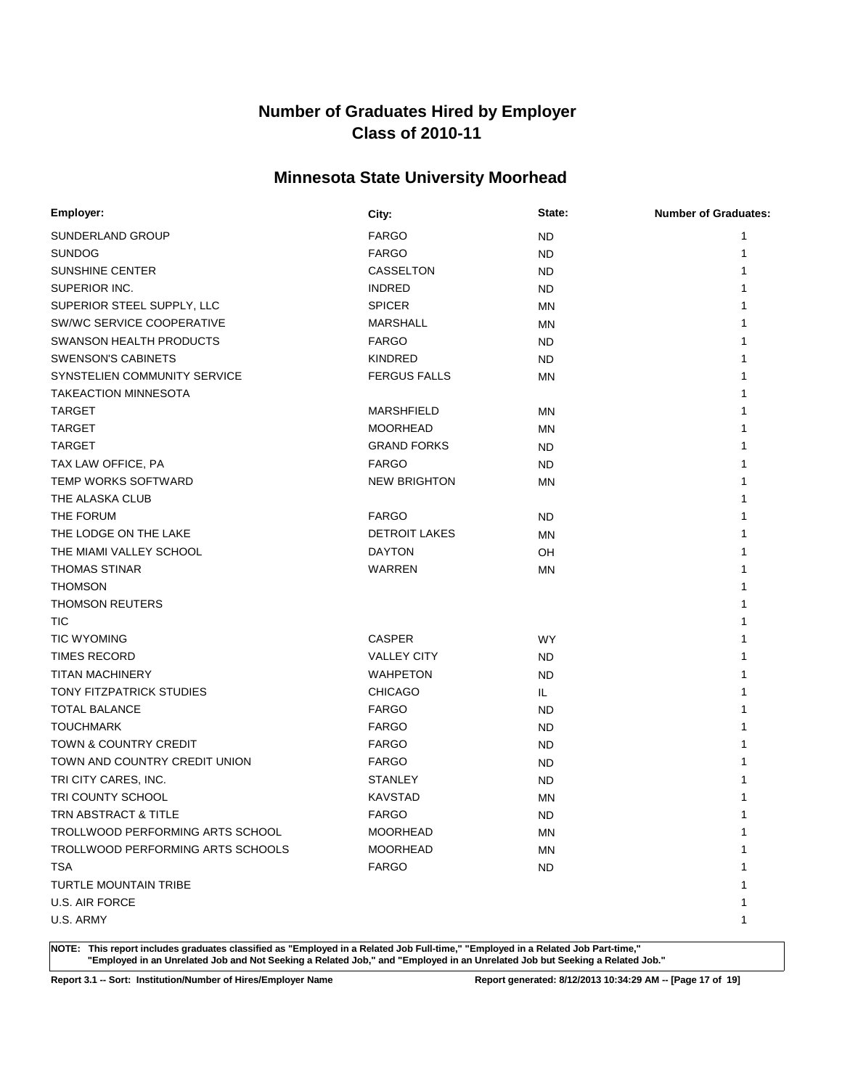# **Minnesota State University Moorhead**

| Employer:                         | City:                | State:    | <b>Number of Graduates:</b> |
|-----------------------------------|----------------------|-----------|-----------------------------|
| SUNDERLAND GROUP                  | <b>FARGO</b>         | <b>ND</b> | 1                           |
| <b>SUNDOG</b>                     | <b>FARGO</b>         | ND        | 1                           |
| <b>SUNSHINE CENTER</b>            | <b>CASSELTON</b>     | ND        | 1                           |
| SUPERIOR INC.                     | <b>INDRED</b>        | ND.       |                             |
| SUPERIOR STEEL SUPPLY, LLC        | <b>SPICER</b>        | MN        |                             |
| SW/WC SERVICE COOPERATIVE         | <b>MARSHALL</b>      | ΜN        |                             |
| <b>SWANSON HEALTH PRODUCTS</b>    | <b>FARGO</b>         | ND.       |                             |
| <b>SWENSON'S CABINETS</b>         | <b>KINDRED</b>       | ND.       |                             |
| SYNSTELIEN COMMUNITY SERVICE      | <b>FERGUS FALLS</b>  | <b>MN</b> |                             |
| <b>TAKEACTION MINNESOTA</b>       |                      |           |                             |
| <b>TARGET</b>                     | <b>MARSHFIELD</b>    | ΜN        |                             |
| <b>TARGET</b>                     | <b>MOORHEAD</b>      | MN        |                             |
| <b>TARGET</b>                     | <b>GRAND FORKS</b>   | ND.       |                             |
| TAX LAW OFFICE, PA                | <b>FARGO</b>         | ND.       |                             |
| <b>TEMP WORKS SOFTWARD</b>        | <b>NEW BRIGHTON</b>  | <b>MN</b> |                             |
| THE ALASKA CLUB                   |                      |           |                             |
| THE FORUM                         | <b>FARGO</b>         | <b>ND</b> |                             |
| THE LODGE ON THE LAKE             | <b>DETROIT LAKES</b> | MN        |                             |
| THE MIAMI VALLEY SCHOOL           | <b>DAYTON</b>        | OH        |                             |
| <b>THOMAS STINAR</b>              | WARREN               | <b>MN</b> |                             |
| <b>THOMSON</b>                    |                      |           |                             |
| <b>THOMSON REUTERS</b>            |                      |           |                             |
| <b>TIC</b>                        |                      |           |                             |
| <b>TIC WYOMING</b>                | <b>CASPER</b>        | <b>WY</b> |                             |
| <b>TIMES RECORD</b>               | <b>VALLEY CITY</b>   | ND        |                             |
| <b>TITAN MACHINERY</b>            | <b>WAHPETON</b>      | ND        |                             |
| TONY FITZPATRICK STUDIES          | <b>CHICAGO</b>       | IL.       |                             |
| <b>TOTAL BALANCE</b>              | <b>FARGO</b>         | ND        |                             |
| <b>TOUCHMARK</b>                  | <b>FARGO</b>         | ND        |                             |
| <b>TOWN &amp; COUNTRY CREDIT</b>  | <b>FARGO</b>         | ND        |                             |
| TOWN AND COUNTRY CREDIT UNION     | <b>FARGO</b>         | ND        |                             |
| TRI CITY CARES, INC.              | <b>STANLEY</b>       | ND        |                             |
| TRI COUNTY SCHOOL                 | <b>KAVSTAD</b>       | <b>MN</b> |                             |
| TRN ABSTRACT & TITLE              | <b>FARGO</b>         | <b>ND</b> | 1                           |
| TROLLWOOD PERFORMING ARTS SCHOOL  | <b>MOORHEAD</b>      | ΜN        | 1                           |
| TROLLWOOD PERFORMING ARTS SCHOOLS | <b>MOORHEAD</b>      | ΜN        |                             |
| <b>TSA</b>                        | <b>FARGO</b>         | <b>ND</b> |                             |
| TURTLE MOUNTAIN TRIBE             |                      |           |                             |
| U.S. AIR FORCE                    |                      |           |                             |
| U.S. ARMY                         |                      |           |                             |
|                                   |                      |           |                             |

**NOTE: This report includes graduates classified as "Employed in a Related Job Full-time," "Employed in a Related Job Part-time," "Employed in an Unrelated Job and Not Seeking a Related Job," and "Employed in an Unrelated Job but Seeking a Related Job."**

**Report 3.1 -- Sort: Institution/Number of Hires/Employer Name Report generated: 8/12/2013 10:34:29 AM -- [Page 17 of 19]**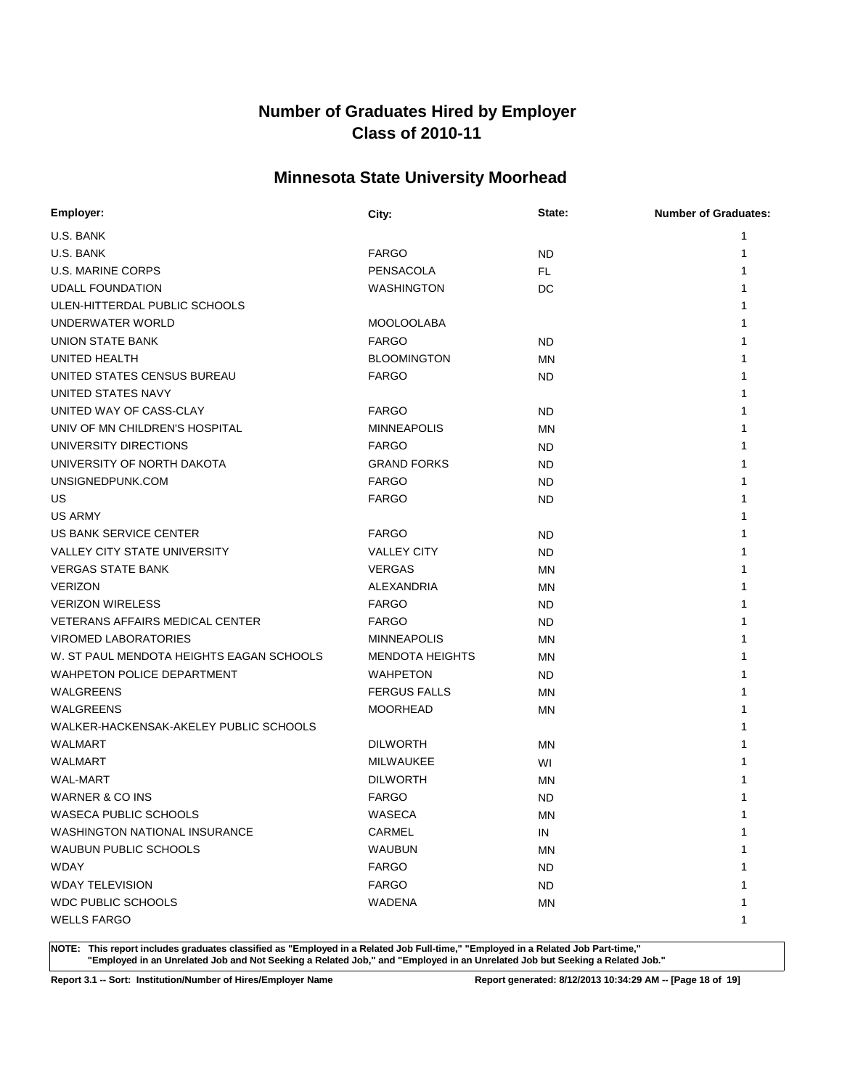# **Minnesota State University Moorhead**

| Employer:                                | City:                  | State:    | <b>Number of Graduates:</b> |
|------------------------------------------|------------------------|-----------|-----------------------------|
| U.S. BANK                                |                        |           | 1                           |
| U.S. BANK                                | <b>FARGO</b>           | ND        | 1                           |
| <b>U.S. MARINE CORPS</b>                 | PENSACOLA              | FL        | 1                           |
| <b>UDALL FOUNDATION</b>                  | <b>WASHINGTON</b>      | DC        |                             |
| ULEN-HITTERDAL PUBLIC SCHOOLS            |                        |           |                             |
| UNDERWATER WORLD                         | <b>MOOLOOLABA</b>      |           |                             |
| <b>UNION STATE BANK</b>                  | <b>FARGO</b>           | ND        |                             |
| UNITED HEALTH                            | <b>BLOOMINGTON</b>     | MN        |                             |
| UNITED STATES CENSUS BUREAU              | <b>FARGO</b>           | <b>ND</b> |                             |
| UNITED STATES NAVY                       |                        |           |                             |
| UNITED WAY OF CASS-CLAY                  | <b>FARGO</b>           | <b>ND</b> |                             |
| UNIV OF MN CHILDREN'S HOSPITAL           | <b>MINNEAPOLIS</b>     | <b>MN</b> |                             |
| UNIVERSITY DIRECTIONS                    | <b>FARGO</b>           | <b>ND</b> |                             |
| UNIVERSITY OF NORTH DAKOTA               | <b>GRAND FORKS</b>     | ND        |                             |
| UNSIGNEDPUNK.COM                         | <b>FARGO</b>           | <b>ND</b> |                             |
| US                                       | <b>FARGO</b>           | ND        |                             |
| <b>US ARMY</b>                           |                        |           |                             |
| US BANK SERVICE CENTER                   | <b>FARGO</b>           | ND        |                             |
| <b>VALLEY CITY STATE UNIVERSITY</b>      | <b>VALLEY CITY</b>     | ND        |                             |
| <b>VERGAS STATE BANK</b>                 | <b>VERGAS</b>          | MN        |                             |
| <b>VERIZON</b>                           | ALEXANDRIA             | MN        |                             |
| <b>VERIZON WIRELESS</b>                  | <b>FARGO</b>           | ND        |                             |
| <b>VETERANS AFFAIRS MEDICAL CENTER</b>   | <b>FARGO</b>           | ND        |                             |
| <b>VIROMED LABORATORIES</b>              | <b>MINNEAPOLIS</b>     | MN        |                             |
| W. ST PAUL MENDOTA HEIGHTS EAGAN SCHOOLS | <b>MENDOTA HEIGHTS</b> | <b>MN</b> |                             |
| WAHPETON POLICE DEPARTMENT               | <b>WAHPETON</b>        | ND        |                             |
| WALGREENS                                | <b>FERGUS FALLS</b>    | <b>MN</b> |                             |
| WALGREENS                                | <b>MOORHEAD</b>        | ΜN        |                             |
| WALKER-HACKENSAK-AKELEY PUBLIC SCHOOLS   |                        |           |                             |
| <b>WALMART</b>                           | <b>DILWORTH</b>        | ΜN        |                             |
| <b>WALMART</b>                           | MILWAUKEE              | WI        |                             |
| <b>WAL-MART</b>                          | <b>DILWORTH</b>        | MN        |                             |
| WARNER & CO INS                          | <b>FARGO</b>           | <b>ND</b> |                             |
| <b>WASECA PUBLIC SCHOOLS</b>             | WASECA                 | MN        | 1                           |
| WASHINGTON NATIONAL INSURANCE            | CARMEL                 | IN        | 1                           |
| <b>WAUBUN PUBLIC SCHOOLS</b>             | <b>WAUBUN</b>          | <b>MN</b> |                             |
| <b>WDAY</b>                              | <b>FARGO</b>           | <b>ND</b> |                             |
| <b>WDAY TELEVISION</b>                   | <b>FARGO</b>           | ND.       |                             |
| <b>WDC PUBLIC SCHOOLS</b>                | WADENA                 | ΜN        | 1                           |
| <b>WELLS FARGO</b>                       |                        |           | 1                           |

**NOTE: This report includes graduates classified as "Employed in a Related Job Full-time," "Employed in a Related Job Part-time," "Employed in an Unrelated Job and Not Seeking a Related Job," and "Employed in an Unrelated Job but Seeking a Related Job."**

**Report 3.1 -- Sort: Institution/Number of Hires/Employer Name Report generated: 8/12/2013 10:34:29 AM -- [Page 18 of 19]**